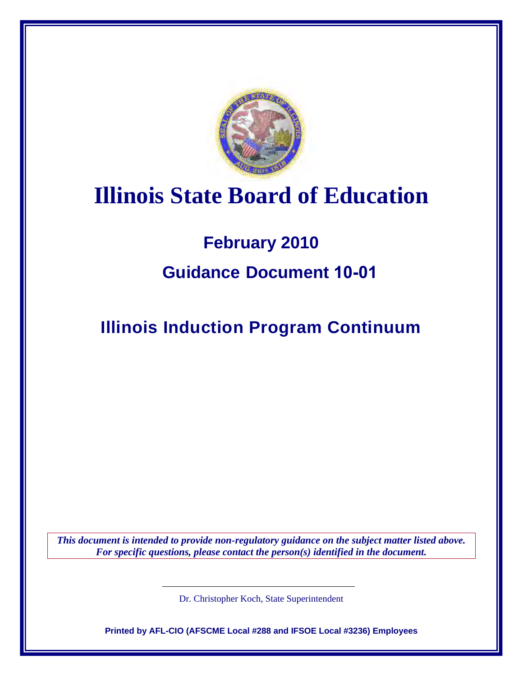

# **Illinois State Board of Education**

# **February 2010**

# **Guidance Document 10-01**

**Illinois Induction Program Continuum** 

*This document is intended to provide non-regulatory guidance on the subject matter listed above. For specific questions, please contact the person(s) identified in the document.* 

Dr. Christopher Koch, State Superintendent

**Printed by AFL-CIO (AFSCME Local #288 and IFSOE Local #3236) Employees**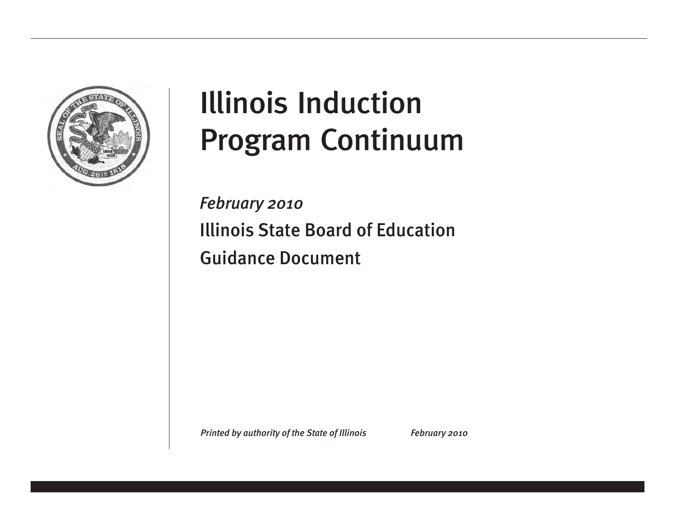

# Illinois Induction Program Continuum

*February 2010* Illinois State Board of Education Guidance Document

*Printed by authority of the State of Illinois* February 2010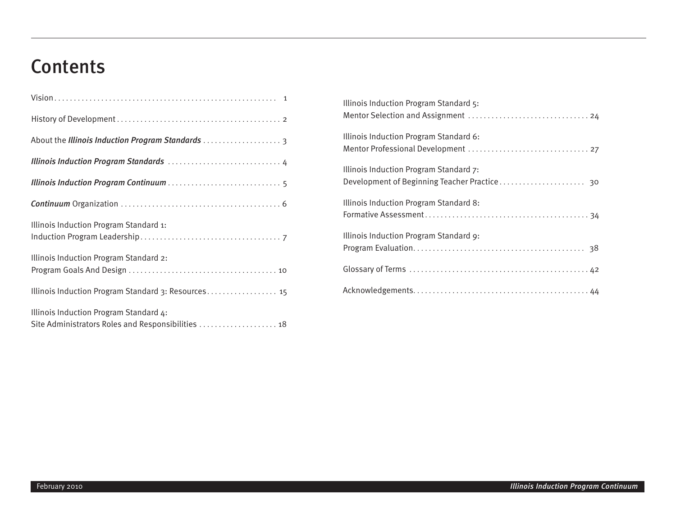# **Contents**

| About the Illinois Induction Program Standards  3                                            |
|----------------------------------------------------------------------------------------------|
|                                                                                              |
|                                                                                              |
|                                                                                              |
| Illinois Induction Program Standard 1:                                                       |
| Illinois Induction Program Standard 2:                                                       |
| Illinois Induction Program Standard 3: Resources 15                                          |
| Illinois Induction Program Standard 4:<br>Site Administrators Roles and Responsibilities  18 |

| Illinois Induction Program Standard 5: |
|----------------------------------------|
| Illinois Induction Program Standard 6: |
| Illinois Induction Program Standard 7: |
| Illinois Induction Program Standard 8: |
| Illinois Induction Program Standard 9: |
|                                        |
|                                        |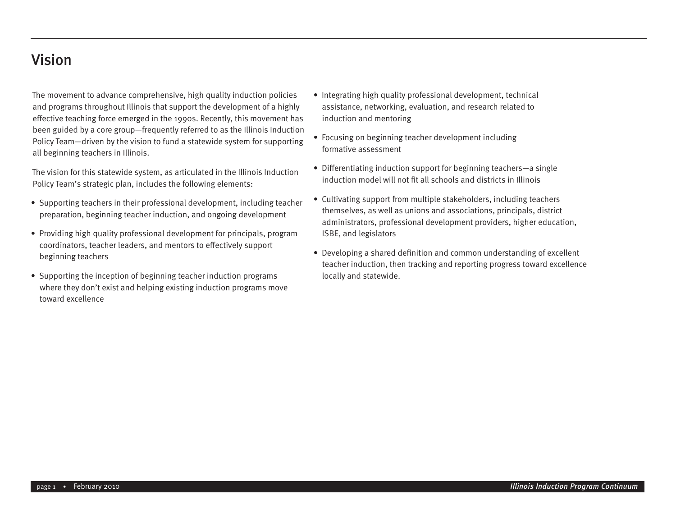#### Vision

The movement to advance comprehensive, high quality induction policies and programs throughout Illinois that support the development of a highly effective teaching force emerged in the 1990s. Recently, this movement has been guided by a core group—frequently referred to as the Illinois Induction Policy Team—driven by the vision to fund a statewide system for supporting all beginning teachers in Illinois.

The vision for this statewide system, as articulated in the Illinois Induction Policy Team's strategic plan, includes the following elements:

- Supporting teachers in their professional development, including teacher preparation, beginning teacher induction, and ongoing development
- Providing high quality professional development for principals, program coordinators, teacher leaders, and mentors to effectively support beginning teachers
- Supporting the inception of beginning teacher induction programs where they don't exist and helping existing induction programs move toward excellence
- Integrating high quality professional development, technical assistance, networking, evaluation, and research related to induction and mentoring
- Focusing on beginning teacher development including formative assessment
- Differentiating induction support for beginning teachers—a single induction model will not fit all schools and districts in Illinois
- Cultivating support from multiple stakeholders, including teachers themselves, as well as unions and associations, principals, district administrators, professional development providers, higher education, ISBE, and legislators
- Developing a shared definition and common understanding of excellent teacher induction, then tracking and reporting progress toward excellence locally and statewide.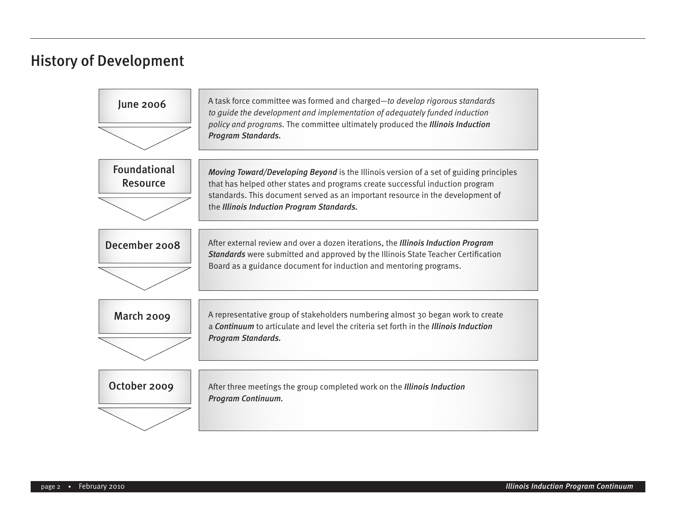#### History of Development

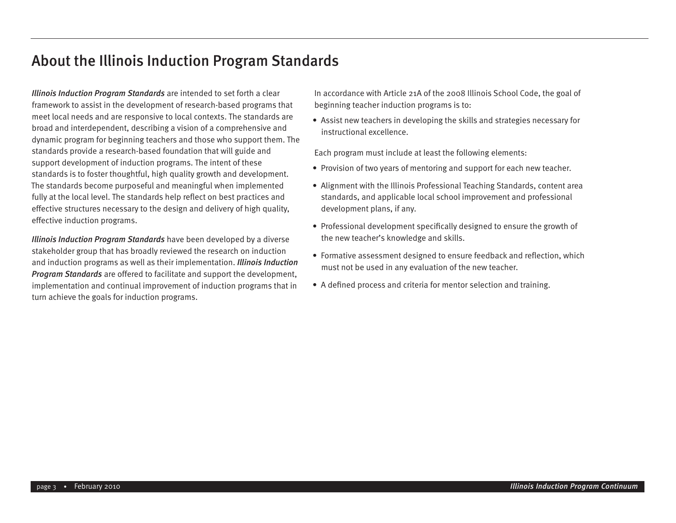#### About the Illinois Induction Program Standards

*Illinois Induction Program Standards* are intended to set forth a clear framework to assist in the development of research-based programs that meet local needs and are responsive to local contexts. The standards are broad and interdependent, describing a vision of a comprehensive and dynamic program for beginning teachers and those who support them. The standards provide a research-based foundation that will guide and support development of induction programs. The intent of these standards is to foster thoughtful, high quality growth and development. The standards become purposeful and meaningful when implemented fully at the local level. The standards help reflect on best practices and effective structures necessary to the design and delivery of high quality, effective induction programs.

*Illinois Induction Program Standards* have been developed by a diverse stakeholder group that has broadly reviewed the research on induction and induction programs as well as their implementation. *Illinois Induction Program Standards* are offered to facilitate and support the development, implementation and continual improvement of induction programs that in turn achieve the goals for induction programs.

In accordance with Article 21A of the 2008 Illinois School Code, the goal of beginning teacher induction programs is to:

• Assist new teachers in developing the skills and strategies necessary for instructional excellence.

Each program must include at least the following elements:

- Provision of two years of mentoring and support for each new teacher.
- Alignment with the Illinois Professional Teaching Standards, content area standards, and applicable local school improvement and professional development plans, if any.
- Professional development specifically designed to ensure the growth of the new teacher's knowledge and skills.
- Formative assessment designed to ensure feedback and reflection, which must not be used in any evaluation of the new teacher.
- A defined process and criteria for mentor selection and training.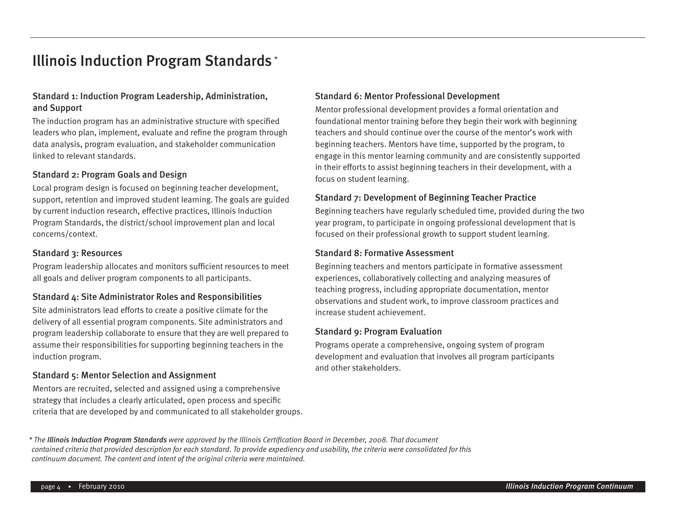#### Illinois Induction Program Standards \*

#### Standard 1: Induction Program Leadership, Administration, and Support

The induction program has an administrative structure with specified leaders who plan, implement, evaluate and refine the program through data analysis, program evaluation, and stakeholder communication linked to relevant standards.

#### Standard 2: Program Goals and Design

Local program design is focused on beginning teacher development, support, retention and improved student learning. The goals are guided by current induction research, effective practices, Illinois Induction Program Standards, the district/school improvement plan and local concerns/context.

#### Standard 3: Resources

Program leadership allocates and monitors sufficient resources to meet all goals and deliver program components to all participants.

#### Standard 4: Site Administrator Roles and Responsibilities

Site administrators lead efforts to create a positive climate for the delivery of all essential program components. Site administrators and program leadership collaborate to ensure that they are well prepared to assume their responsibilities for supporting beginning teachers in the induction program.

#### Standard 5: Mentor Selection and Assignment

Mentors are recruited, selected and assigned using a comprehensive strategy that includes a clearly articulated, open process and specific criteria that are developed by and communicated to all stakeholder groups.

#### Standard 6: Mentor Professional Development

Mentor professional development provides a formal orientation and foundational mentor training before they begin their work with beginning teachers and should continue over the course of the mentor's work with beginning teachers. Mentors have time, supported by the program, to engage in this mentor learning community and are consistently supported in their efforts to assist beginning teachers in their development, with a focus on student learning.

#### Standard 7: Development of Beginning Teacher Practice

Beginning teachers have regularly scheduled time, provided during the two year program, to participate in ongoing professional development that is focused on their professional growth to support student learning.

#### Standard 8: Formative Assessment

Beginning teachers and mentors participate in formative assessment experiences, collaboratively collecting and analyzing measures of teaching progress, including appropriate documentation, mentor observations and student work, to improve classroom practices and increase student achievement.

#### Standard 9: Program Evaluation

Programs operate a comprehensive, ongoing system of program development and evaluation that involves all program participants and other stakeholders.

*\* The Illinois Induction Program Standards were approved by the Illinois Certification Board in December, 2008. That document contained criteria that provided description for each standard. To provide expediency and usability, the criteria were consolidated for this continuum document. The content and intent of the original criteria were maintained.*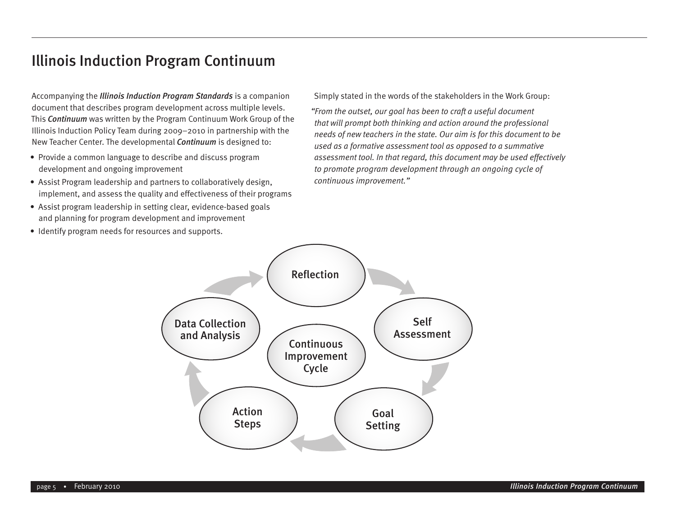#### Illinois Induction Program Continuum

Accompanying the *Illinois Induction Program Standards* is a companion document that describes program development across multiple levels. This *Continuum* was written by the Program Continuum Work Group of the Illinois Induction Policy Team during 2009–2010 in partnership with the New Teacher Center. The developmental *Continuum* is designed to:

- Provide a common language to describe and discuss program development and ongoing improvement
- Assist Program leadership and partners to collaboratively design, implement, and assess the quality and effectiveness of their programs
- Assist program leadership in setting clear, evidence-based goals and planning for program development and improvement
- Identify program needs for resources and supports.

Simply stated in the words of the stakeholders in the Work Group:

*"From the outset, our goal has been to craft a useful document that will prompt both thinking and action around the professional needs of new teachers in the state. Our aim is for this document to be used as a formative assessment tool as opposed to a summative assessment tool. In that regard, this document may be used effectively to promote program development through an ongoing cycle of continuous improvement."* 

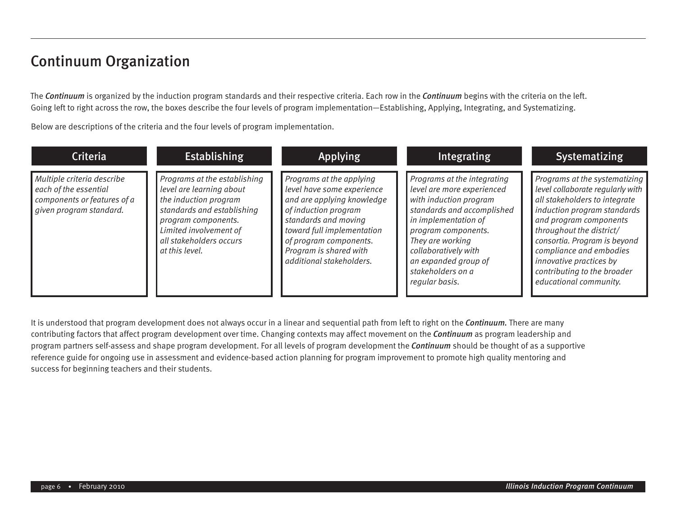#### Continuum Organization

The *Continuum* is organized by the induction program standards and their respective criteria. Each row in the *Continuum* begins with the criteria on the left. Going left to right across the row, the boxes describe the four levels of program implementation—Establishing, Applying, Integrating, and Systematizing.

Below are descriptions of the criteria and the four levels of program implementation.

| <b>Criteria</b>                                                                                               | <b>Establishing</b>                                                                                                                                                                                           | <b>Applying</b>                                                                                                                                                                                                                                    | <b>Integrating</b>                                                                                                                                                                                                                                                          | Systematizing                                                                                                                                                                                                                                                                                                                          |
|---------------------------------------------------------------------------------------------------------------|---------------------------------------------------------------------------------------------------------------------------------------------------------------------------------------------------------------|----------------------------------------------------------------------------------------------------------------------------------------------------------------------------------------------------------------------------------------------------|-----------------------------------------------------------------------------------------------------------------------------------------------------------------------------------------------------------------------------------------------------------------------------|----------------------------------------------------------------------------------------------------------------------------------------------------------------------------------------------------------------------------------------------------------------------------------------------------------------------------------------|
| Multiple criteria describe<br>each of the essential<br>components or features of a<br>given program standard. | Programs at the establishing<br>level are learning about<br>the induction program<br>standards and establishing<br>program components.<br>Limited involvement of<br>all stakeholders occurs<br>at this level. | Programs at the applying<br>level have some experience<br>and are applying knowledge<br>of induction program<br>standards and moving<br>toward full implementation<br>of program components.<br>Program is shared with<br>additional stakeholders. | Programs at the integrating<br>level are more experienced<br>with induction program<br>standards and accomplished<br>in implementation of<br>program components.<br>They are working<br>collaboratively with<br>an expanded group of<br>stakeholders on a<br>regular basis. | Programs at the systematizing<br>level collaborate regularly with<br>all stakeholders to integrate<br>induction program standards<br>and program components<br>throughout the district/<br>consortia. Program is beyond<br>compliance and embodies<br>innovative practices by<br>contributing to the broader<br>educational community. |

It is understood that program development does not always occur in a linear and sequential path from left to right on the *Continuum.* There are many contributing factors that affect program development over time. Changing contexts may affect movement on the *Continuum* as program leadership and program partners self-assess and shape program development. For all levels of program development the *Continuum* should be thought of as a supportive reference guide for ongoing use in assessment and evidence-based action planning for program improvement to promote high quality mentoring and success for beginning teachers and their students.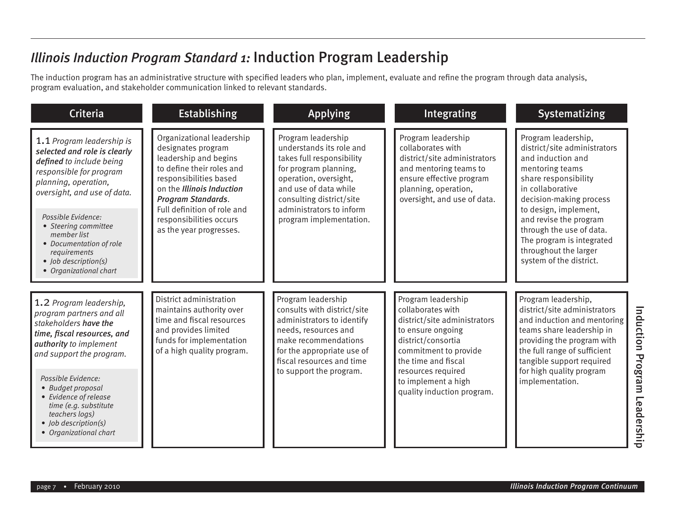# *Illinois Induction Program Standard 1:* Induction Program Leadership

The induction program has an administrative structure with specified leaders who plan, implement, evaluate and refine the program through data analysis, program evaluation, and stakeholder communication linked to relevant standards.

| <b>Establishing</b>                                                                                                                                                                                                                                                            | <b>Applying</b>                                                                                                                                                                                                                           | Integrating                                                                                                                                                                                                                                   | Systematizing                                                                                                                                                                                                                                                                                                                      |
|--------------------------------------------------------------------------------------------------------------------------------------------------------------------------------------------------------------------------------------------------------------------------------|-------------------------------------------------------------------------------------------------------------------------------------------------------------------------------------------------------------------------------------------|-----------------------------------------------------------------------------------------------------------------------------------------------------------------------------------------------------------------------------------------------|------------------------------------------------------------------------------------------------------------------------------------------------------------------------------------------------------------------------------------------------------------------------------------------------------------------------------------|
| Organizational leadership<br>designates program<br>leadership and begins<br>to define their roles and<br>responsibilities based<br>on the Illinois Induction<br><b>Program Standards.</b><br>Full definition of role and<br>responsibilities occurs<br>as the year progresses. | Program leadership<br>understands its role and<br>takes full responsibility<br>for program planning,<br>operation, oversight,<br>and use of data while<br>consulting district/site<br>administrators to inform<br>program implementation. | Program leadership<br>collaborates with<br>district/site administrators<br>and mentoring teams to<br>ensure effective program<br>planning, operation,<br>oversight, and use of data.                                                          | Program leadership,<br>district/site administrators<br>and induction and<br>mentoring teams<br>share responsibility<br>in collaborative<br>decision-making process<br>to design, implement,<br>and revise the program<br>through the use of data.<br>The program is integrated<br>throughout the larger<br>system of the district. |
| District administration<br>maintains authority over<br>time and fiscal resources<br>and provides limited<br>funds for implementation<br>of a high quality program.                                                                                                             | Program leadership<br>consults with district/site<br>administrators to identify<br>needs, resources and<br>make recommendations<br>for the appropriate use of<br>fiscal resources and time<br>to support the program.                     | Program leadership<br>collaborates with<br>district/site administrators<br>to ensure ongoing<br>district/consortia<br>commitment to provide<br>the time and fiscal<br>resources required<br>to implement a high<br>quality induction program. | Program leadership,<br>district/site administrators<br>and induction and mentoring<br>teams share leadership in<br>providing the program with<br>the full range of sufficient<br>tangible support required<br>for high quality program<br>implementation.                                                                          |
|                                                                                                                                                                                                                                                                                |                                                                                                                                                                                                                                           |                                                                                                                                                                                                                                               |                                                                                                                                                                                                                                                                                                                                    |

Induction Program Leadership

Induction Program Leadership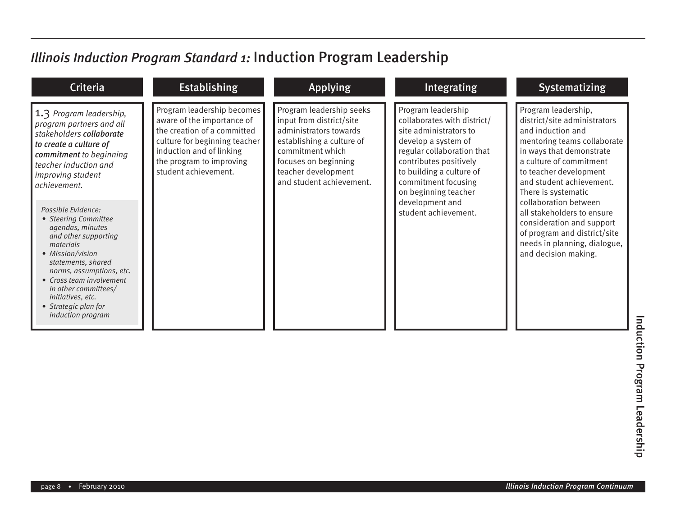# *Illinois Induction Program Standard 1:* Induction Program Leadership

| <b>Criteria</b>                                                                                                                                                                                                                                                                                                                                                                                                                                                                                                       | <b>Establishing</b>                                                                                                                                                                                      | <b>Applying</b>                                                                                                                                                                                            | Integrating                                                                                                                                                                                                                                                                      | Systematizing                                                                                                                                                                                                                                                                                                                                                                                                           |
|-----------------------------------------------------------------------------------------------------------------------------------------------------------------------------------------------------------------------------------------------------------------------------------------------------------------------------------------------------------------------------------------------------------------------------------------------------------------------------------------------------------------------|----------------------------------------------------------------------------------------------------------------------------------------------------------------------------------------------------------|------------------------------------------------------------------------------------------------------------------------------------------------------------------------------------------------------------|----------------------------------------------------------------------------------------------------------------------------------------------------------------------------------------------------------------------------------------------------------------------------------|-------------------------------------------------------------------------------------------------------------------------------------------------------------------------------------------------------------------------------------------------------------------------------------------------------------------------------------------------------------------------------------------------------------------------|
| 1.3 Program leadership,<br>program partners and all<br>stakeholders collaborate<br>to create a culture of<br>commitment to beginning<br>teacher induction and<br>improving student<br>  achievement.<br>Possible Evidence:<br>• Steering Committee<br>agendas, minutes<br>and other supporting<br>materials<br>• Mission/vision<br>statements, shared<br>norms, assumptions, etc.<br>• Cross team involvement<br>in other committees/<br><i>initiatives, etc.</i><br>• Strategic plan for<br><i>induction program</i> | Program leadership becomes<br>aware of the importance of<br>the creation of a committed<br>culture for beginning teacher<br>induction and of linking<br>the program to improving<br>student achievement. | Program leadership seeks<br>input from district/site<br>administrators towards<br>establishing a culture of<br>commitment which<br>focuses on beginning<br>teacher development<br>and student achievement. | Program leadership<br>collaborates with district/<br>site administrators to<br>develop a system of<br>regular collaboration that<br>contributes positively<br>to building a culture of<br>commitment focusing<br>on beginning teacher<br>development and<br>student achievement. | Program leadership,<br>district/site administrators<br>and induction and<br>mentoring teams collaborate<br>in ways that demonstrate<br>a culture of commitment<br>to teacher development<br>and student achievement.<br>There is systematic<br>collaboration between<br>all stakeholders to ensure<br>consideration and support<br>of program and district/site<br>needs in planning, dialogue,<br>and decision making. |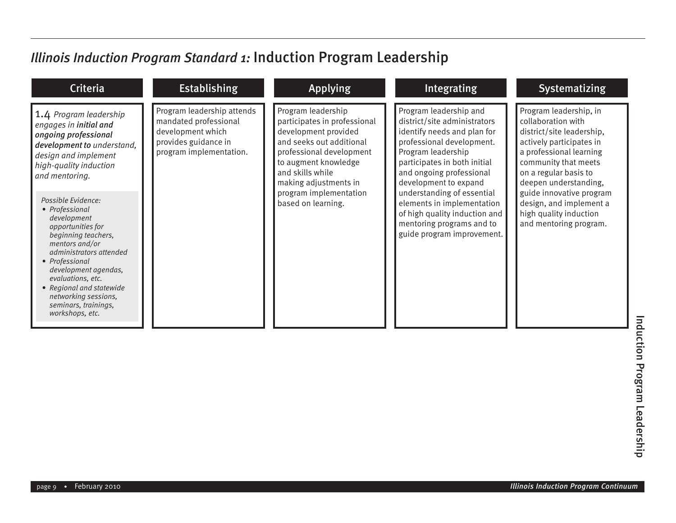# *Illinois Induction Program Standard 1:* Induction Program Leadership

| <b>Criteria</b>                                                                                                                                                                                                                                                                                            | <b>Establishing</b>                                                                                                         | <b>Applying</b>                                                                                                                                                                                         | Integrating                                                                                                                                                                                                                   | <b>Systematizing</b>                                                                                                                                                                                       |
|------------------------------------------------------------------------------------------------------------------------------------------------------------------------------------------------------------------------------------------------------------------------------------------------------------|-----------------------------------------------------------------------------------------------------------------------------|---------------------------------------------------------------------------------------------------------------------------------------------------------------------------------------------------------|-------------------------------------------------------------------------------------------------------------------------------------------------------------------------------------------------------------------------------|------------------------------------------------------------------------------------------------------------------------------------------------------------------------------------------------------------|
| 1.4 Program leadership<br>engages in initial and<br>ongoing professional<br>development to understand,<br>design and implement<br>high-quality induction<br>and mentoring.                                                                                                                                 | Program leadership attends<br>mandated professional<br>development which<br>provides guidance in<br>program implementation. | Program leadership<br>participates in professional<br>development provided<br>and seeks out additional<br>professional development<br>to augment knowledge<br>and skills while<br>making adjustments in | Program leadership and<br>district/site administrators<br>identify needs and plan for<br>professional development.<br>Program leadership<br>participates in both initial<br>and ongoing professional<br>development to expand | Program leadership, in<br>collaboration with<br>district/site leadership,<br>actively participates in<br>a professional learning<br>community that meets<br>on a regular basis to<br>deepen understanding, |
| Possible Evidence:<br>• Professional<br>development<br>opportunities for<br>beginning teachers,<br>mentors and/or<br>administrators attended<br>• Professional<br>development agendas,<br>evaluations, etc.<br>• Regional and statewide<br>networking sessions.<br>seminars, trainings,<br>workshops, etc. |                                                                                                                             | program implementation<br>based on learning.                                                                                                                                                            | understanding of essential<br>elements in implementation<br>of high quality induction and<br>mentoring programs and to<br>guide program improvement.                                                                          | guide innovative program<br>design, and implement a<br>high quality induction<br>and mentoring program.                                                                                                    |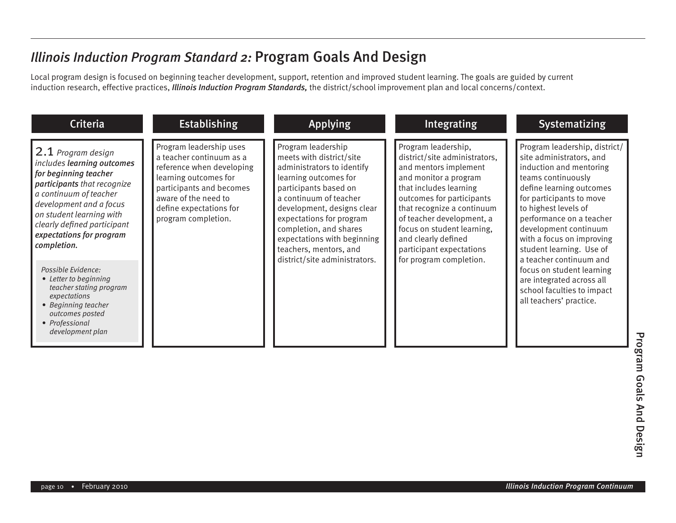Local program design is focused on beginning teacher development, support, retention and improved student learning. The goals are guided by current induction research, effective practices, *Illinois Induction Program Standards,* the district/school improvement plan and local concerns/context.

| <b>Criteria</b>                                                                                                                                                                                                                                                                                                                                                                                                                               | <b>Establishing</b>                                                                                                                                                                                             | <b>Applying</b>                                                                                                                                                                                                                                                                                                                        | Integrating                                                                                                                                                                                                                                                                                                                          | Systematizing                                                                                                                                                                                                                                                                                                                                                                                                                                          |
|-----------------------------------------------------------------------------------------------------------------------------------------------------------------------------------------------------------------------------------------------------------------------------------------------------------------------------------------------------------------------------------------------------------------------------------------------|-----------------------------------------------------------------------------------------------------------------------------------------------------------------------------------------------------------------|----------------------------------------------------------------------------------------------------------------------------------------------------------------------------------------------------------------------------------------------------------------------------------------------------------------------------------------|--------------------------------------------------------------------------------------------------------------------------------------------------------------------------------------------------------------------------------------------------------------------------------------------------------------------------------------|--------------------------------------------------------------------------------------------------------------------------------------------------------------------------------------------------------------------------------------------------------------------------------------------------------------------------------------------------------------------------------------------------------------------------------------------------------|
| 2.1 Program design<br>includes learning outcomes<br>for beginning teacher<br>participants that recognize<br>a continuum of teacher<br>development and a focus<br>on student learning with<br>clearly defined participant<br>expectations for program<br>completion.<br>Possible Evidence:<br>• Letter to beginning<br>teacher stating program<br>expectations<br>• Beginning teacher<br>outcomes posted<br>• Professional<br>development plan | Program leadership uses<br>a teacher continuum as a<br>reference when developing<br>learning outcomes for<br>participants and becomes<br>aware of the need to<br>define expectations for<br>program completion. | Program leadership<br>meets with district/site<br>administrators to identify<br>learning outcomes for<br>participants based on<br>a continuum of teacher<br>development, designs clear<br>expectations for program<br>completion, and shares<br>expectations with beginning<br>teachers, mentors, and<br>district/site administrators. | Program leadership,<br>district/site administrators,<br>and mentors implement<br>and monitor a program<br>that includes learning<br>outcomes for participants<br>that recognize a continuum<br>of teacher development, a<br>focus on student learning,<br>and clearly defined<br>participant expectations<br>for program completion. | Program leadership, district/<br>site administrators, and<br>induction and mentoring<br>teams continuously<br>define learning outcomes<br>for participants to move<br>to highest levels of<br>performance on a teacher<br>development continuum<br>with a focus on improving<br>student learning. Use of<br>a teacher continuum and<br>focus on student learning<br>are integrated across all<br>school faculties to impact<br>all teachers' practice. |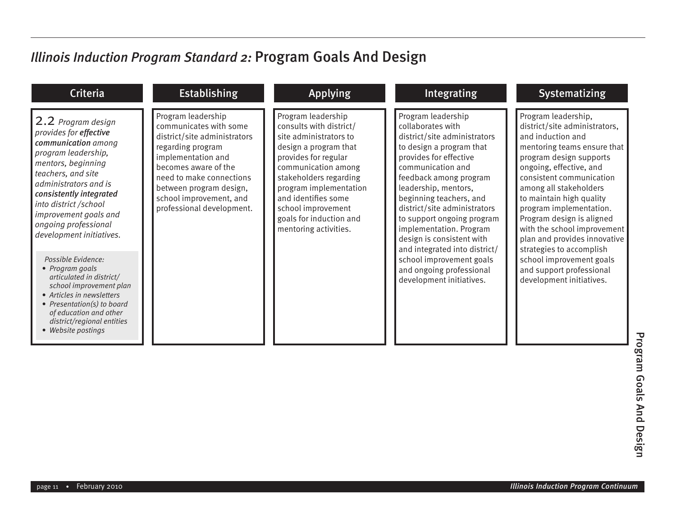| <b>Criteria</b>                                                                                                                                                                                                                                                                                  | <b>Establishing</b>                                                                                                                                                                                                                                            | <b>Applying</b>                                                                                                                                                                                                                                                                                      | Integrating                                                                                                                                                                                                                                                                                                                                                                            | <b>Systematizing</b>                                                                                                                                                                                                                                                                                                                                                                                |
|--------------------------------------------------------------------------------------------------------------------------------------------------------------------------------------------------------------------------------------------------------------------------------------------------|----------------------------------------------------------------------------------------------------------------------------------------------------------------------------------------------------------------------------------------------------------------|------------------------------------------------------------------------------------------------------------------------------------------------------------------------------------------------------------------------------------------------------------------------------------------------------|----------------------------------------------------------------------------------------------------------------------------------------------------------------------------------------------------------------------------------------------------------------------------------------------------------------------------------------------------------------------------------------|-----------------------------------------------------------------------------------------------------------------------------------------------------------------------------------------------------------------------------------------------------------------------------------------------------------------------------------------------------------------------------------------------------|
| 2.2 Program design<br>provides for effective<br>communication among<br>program leadership,<br>mentors, beginning<br>teachers, and site<br>administrators and is<br>consistently integrated<br>into district /school<br>improvement goals and<br>ongoing professional<br>development initiatives. | Program leadership<br>communicates with some<br>district/site administrators<br>regarding program<br>implementation and<br>becomes aware of the<br>need to make connections<br>between program design,<br>school improvement, and<br>professional development. | Program leadership<br>consults with district/<br>site administrators to<br>design a program that<br>provides for regular<br>communication among<br>stakeholders regarding<br>program implementation<br>and identifies some<br>school improvement<br>goals for induction and<br>mentoring activities. | Program leadership<br>collaborates with<br>district/site administrators<br>to design a program that<br>provides for effective<br>communication and<br>feedback among program<br>leadership, mentors,<br>beginning teachers, and<br>district/site administrators<br>to support ongoing program<br>implementation. Program<br>design is consistent with<br>and integrated into district/ | Program leadership,<br>district/site administrators,<br>and induction and<br>mentoring teams ensure that<br>program design supports<br>ongoing, effective, and<br>consistent communication<br>among all stakeholders<br>to maintain high quality<br>program implementation.<br>Program design is aligned<br>with the school improvement<br>plan and provides innovative<br>strategies to accomplish |
| Possible Evidence:<br>• Program goals<br>articulated in district/<br>school improvement plan<br>• Articles in newsletters<br>• Presentation(s) to board<br>of education and other<br>district/regional entities<br>• Website postings                                                            |                                                                                                                                                                                                                                                                |                                                                                                                                                                                                                                                                                                      | school improvement goals<br>and ongoing professional<br>development initiatives.                                                                                                                                                                                                                                                                                                       | school improvement goals<br>and support professional<br>development initiatives.                                                                                                                                                                                                                                                                                                                    |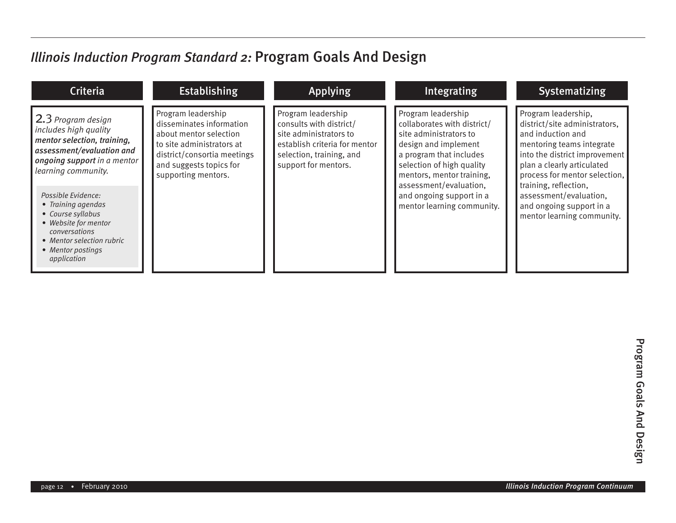| <b>Criteria</b>                                                                                                                                                                                                                                                                                                                                  | <b>Establishing</b>                                                                                                                                                                    | <b>Applying</b>                                                                                                                                              | Integrating                                                                                                                                                                                                                                                                  | <b>Systematizing</b>                                                                                                                                                                                                                                                                                                |
|--------------------------------------------------------------------------------------------------------------------------------------------------------------------------------------------------------------------------------------------------------------------------------------------------------------------------------------------------|----------------------------------------------------------------------------------------------------------------------------------------------------------------------------------------|--------------------------------------------------------------------------------------------------------------------------------------------------------------|------------------------------------------------------------------------------------------------------------------------------------------------------------------------------------------------------------------------------------------------------------------------------|---------------------------------------------------------------------------------------------------------------------------------------------------------------------------------------------------------------------------------------------------------------------------------------------------------------------|
| $\vert$ 2.3 Program design<br>includes high quality<br>mentor selection, training,<br>assessment/evaluation and<br>ongoing support in a mentor<br>learning community.<br>Possible Evidence:<br>• Training agendas<br>• Course syllabus<br>• Website for mentor<br>conversations<br>• Mentor selection rubric<br>• Mentor postings<br>application | Program leadership<br>disseminates information<br>about mentor selection<br>to site administrators at<br>district/consortia meetings<br>and suggests topics for<br>supporting mentors. | Program leadership<br>consults with district/<br>site administrators to<br>establish criteria for mentor<br>selection, training, and<br>support for mentors. | Program leadership<br>collaborates with district/<br>site administrators to<br>design and implement<br>a program that includes<br>selection of high quality<br>mentors, mentor training,<br>assessment/evaluation,<br>and ongoing support in a<br>mentor learning community. | Program leadership,<br>district/site administrators,<br>and induction and<br>mentoring teams integrate<br>into the district improvement<br>plan a clearly articulated<br>process for mentor selection,<br>training, reflection,<br>assessment/evaluation,<br>and ongoing support in a<br>mentor learning community. |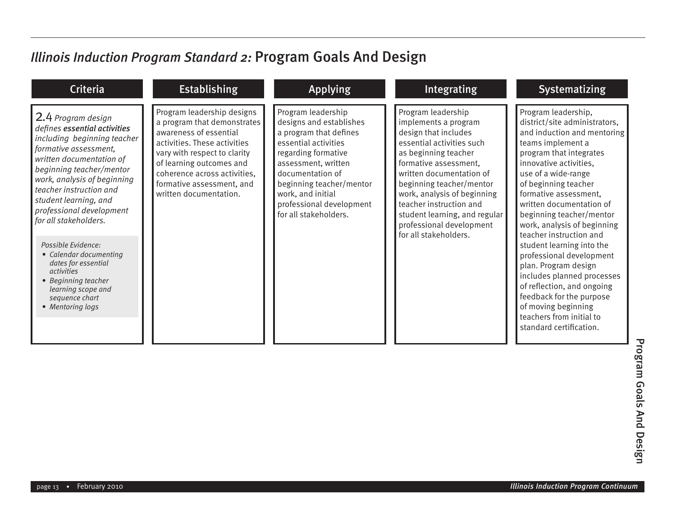| <b>Criteria</b>                                                                                                                                                                                                                                                                                                                                                                                                                                                                           | <b>Establishing</b>                                                                                                                                                                                                                                                    | <b>Applying</b>                                                                                                                                                                                                                                                         | <b>Integrating</b>                                                                                                                                                                                                                                                                                                                                       | <b>Systematizing</b>                                                                                                                                                                                                                                                                                                                                                                                                                                                                                                                                                                                           |
|-------------------------------------------------------------------------------------------------------------------------------------------------------------------------------------------------------------------------------------------------------------------------------------------------------------------------------------------------------------------------------------------------------------------------------------------------------------------------------------------|------------------------------------------------------------------------------------------------------------------------------------------------------------------------------------------------------------------------------------------------------------------------|-------------------------------------------------------------------------------------------------------------------------------------------------------------------------------------------------------------------------------------------------------------------------|----------------------------------------------------------------------------------------------------------------------------------------------------------------------------------------------------------------------------------------------------------------------------------------------------------------------------------------------------------|----------------------------------------------------------------------------------------------------------------------------------------------------------------------------------------------------------------------------------------------------------------------------------------------------------------------------------------------------------------------------------------------------------------------------------------------------------------------------------------------------------------------------------------------------------------------------------------------------------------|
| 2.4 Program design<br>defines essential activities<br>including beginning teacher<br>formative assessment,<br>written documentation of<br>beginning teacher/mentor<br>work, analysis of beginning<br>teacher instruction and<br>student learning, and<br>professional development<br>for all stakeholders.<br>Possible Evidence:<br>• Calendar documenting<br>dates for essential<br><i>activities</i><br>• Beginning teacher<br>learning scope and<br>sequence chart<br>• Mentoring logs | Program leadership designs<br>a program that demonstrates<br>awareness of essential<br>activities. These activities<br>vary with respect to clarity<br>of learning outcomes and<br>coherence across activities,<br>formative assessment, and<br>written documentation. | Program leadership<br>designs and establishes<br>a program that defines<br>essential activities<br>regarding formative<br>assessment, written<br>documentation of<br>beginning teacher/mentor<br>work, and initial<br>professional development<br>for all stakeholders. | Program leadership<br>implements a program<br>design that includes<br>essential activities such<br>as beginning teacher<br>formative assessment,<br>written documentation of<br>beginning teacher/mentor<br>work, analysis of beginning<br>teacher instruction and<br>student learning, and regular<br>professional development<br>for all stakeholders. | Program leadership,<br>district/site administrators,<br>and induction and mentoring<br>teams implement a<br>program that integrates<br>innovative activities,<br>use of a wide-range<br>of beginning teacher<br>formative assessment,<br>written documentation of<br>beginning teacher/mentor<br>work, analysis of beginning<br>teacher instruction and<br>student learning into the<br>professional development<br>plan. Program design<br>includes planned processes<br>of reflection, and ongoing<br>feedback for the purpose<br>of moving beginning<br>teachers from initial to<br>standard certification. |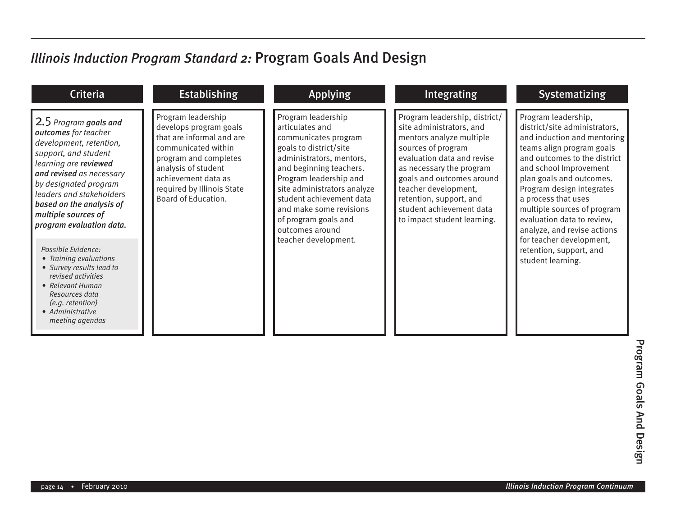| Program leadership<br>Program leadership<br>Program leadership, district/<br>Program leadership,<br>2.5 Program goals and<br>articulates and<br>develops program goals<br>site administrators, and<br>outcomes for teacher<br>that are informal and are<br>communicates program<br>mentors analyze multiple<br>development, retention,<br>communicated within<br>goals to district/site<br>sources of program<br>support, and student<br>evaluation data and revise<br>program and completes<br>administrators, mentors,<br>learning are reviewed<br>analysis of student<br>and beginning teachers.<br>as necessary the program<br>and revised as necessary<br>achievement data as<br>Program leadership and<br>goals and outcomes around<br>by designated program<br>required by Illinois State<br>site administrators analyze<br>teacher development,<br>leaders and stakeholders<br>Board of Education.<br>student achievement data<br>retention, support, and<br>a process that uses<br>based on the analysis of<br>student achievement data<br>and make some revisions<br>multiple sources of<br>of program goals and<br>to impact student learning.<br>program evaluation data.<br>outcomes around<br>teacher development.<br>Possible Evidence:<br>retention, support, and | <b>Criteria</b>        | <b>Establishing</b> | <b>Applying</b> | Integrating | <b>Systematizing</b>                                                                                                                                                                                                                                                                                                                                      |
|-----------------------------------------------------------------------------------------------------------------------------------------------------------------------------------------------------------------------------------------------------------------------------------------------------------------------------------------------------------------------------------------------------------------------------------------------------------------------------------------------------------------------------------------------------------------------------------------------------------------------------------------------------------------------------------------------------------------------------------------------------------------------------------------------------------------------------------------------------------------------------------------------------------------------------------------------------------------------------------------------------------------------------------------------------------------------------------------------------------------------------------------------------------------------------------------------------------------------------------------------------------------------------------|------------------------|---------------------|-----------------|-------------|-----------------------------------------------------------------------------------------------------------------------------------------------------------------------------------------------------------------------------------------------------------------------------------------------------------------------------------------------------------|
| • Survey results lead to<br>revised activities<br>• Relevant Human<br>Resources data<br>(e.g. retention)<br>• Administrative<br>meeting agendas                                                                                                                                                                                                                                                                                                                                                                                                                                                                                                                                                                                                                                                                                                                                                                                                                                                                                                                                                                                                                                                                                                                                   | • Training evaluations |                     |                 |             | district/site administrators,<br>and induction and mentoring<br>teams align program goals<br>and outcomes to the district<br>and school Improvement<br>plan goals and outcomes.<br>Program design integrates<br>multiple sources of program<br>evaluation data to review,<br>analyze, and revise actions<br>for teacher development,<br>student learning. |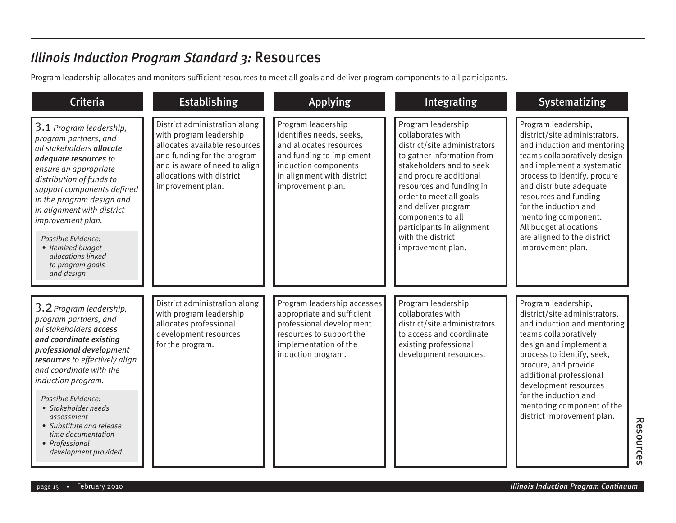#### *Illinois Induction Program Standard 3:* Resources

Program leadership allocates and monitors sufficient resources to meet all goals and deliver program components to all participants.

| <b>Criteria</b>                                                                                                                                                                                                                                                                                                                                                              | <b>Establishing</b>                                                                                                                                                                                         | <b>Applying</b>                                                                                                                                                                  | Integrating                                                                                                                                                                                                                                                                                                                           | <b>Systematizing</b>                                                                                                                                                                                                                                                                                                                                                 |
|------------------------------------------------------------------------------------------------------------------------------------------------------------------------------------------------------------------------------------------------------------------------------------------------------------------------------------------------------------------------------|-------------------------------------------------------------------------------------------------------------------------------------------------------------------------------------------------------------|----------------------------------------------------------------------------------------------------------------------------------------------------------------------------------|---------------------------------------------------------------------------------------------------------------------------------------------------------------------------------------------------------------------------------------------------------------------------------------------------------------------------------------|----------------------------------------------------------------------------------------------------------------------------------------------------------------------------------------------------------------------------------------------------------------------------------------------------------------------------------------------------------------------|
| 3.1 Program leadership,<br>program partners, and<br>all stakeholders allocate<br>adequate resources to<br>ensure an appropriate<br>distribution of funds to<br>support components defined<br>in the program design and<br>in alignment with district<br>improvement plan.<br>Possible Evidence:<br>• Itemized budget<br>allocations linked<br>to program goals<br>and design | District administration along<br>with program leadership<br>allocates available resources<br>and funding for the program<br>and is aware of need to align<br>allocations with district<br>improvement plan. | Program leadership<br>identifies needs, seeks,<br>and allocates resources<br>and funding to implement<br>induction components<br>in alignment with district<br>improvement plan. | Program leadership<br>collaborates with<br>district/site administrators<br>to gather information from<br>stakeholders and to seek<br>and procure additional<br>resources and funding in<br>order to meet all goals<br>and deliver program<br>components to all<br>participants in alignment<br>with the district<br>improvement plan. | Program leadership,<br>district/site administrators,<br>and induction and mentoring<br>teams collaboratively design<br>and implement a systematic<br>process to identify, procure<br>and distribute adequate<br>resources and funding<br>for the induction and<br>mentoring component.<br>All budget allocations<br>are aligned to the district<br>improvement plan. |
| 3.2 Program leadership,<br>program partners, and<br>all stakeholders access<br>and coordinate existing<br>professional development<br>resources to effectively align<br>and coordinate with the<br>induction program.<br>Possible Evidence:<br>• Stakeholder needs<br>assessment<br>• Substitute and release<br>time documentation<br>• Professional<br>development provided | District administration along<br>with program leadership<br>allocates professional<br>development resources<br>for the program.                                                                             | Program leadership accesses<br>appropriate and sufficient<br>professional development<br>resources to support the<br>implementation of the<br>induction program.                 | Program leadership<br>collaborates with<br>district/site administrators<br>to access and coordinate<br>existing professional<br>development resources.                                                                                                                                                                                | Program leadership,<br>district/site administrators,<br>and induction and mentoring<br>teams collaboratively<br>design and implement a<br>process to identify, seek,<br>procure, and provide<br>additional professional<br>development resources<br>for the induction and<br>mentoring component of the<br>district improvement plan.                                |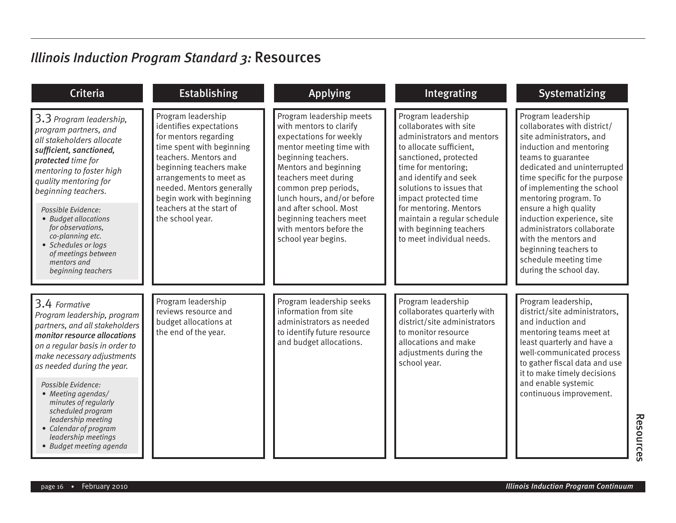### *Illinois Induction Program Standard 3:* Resources

| <b>Criteria</b>                                                                                                                                                                                                                                                                                                                                                                                        | <b>Establishing</b>                                                                                                                                                                                                                                                                          | <b>Applying</b>                                                                                                                                                                                                                                                                                                                                 | <b>Integrating</b>                                                                                                                                                                                                                                                                                                                                   | <b>Systematizing</b>                                                                                                                                                                                                                                                                                                                                                                                                                           |
|--------------------------------------------------------------------------------------------------------------------------------------------------------------------------------------------------------------------------------------------------------------------------------------------------------------------------------------------------------------------------------------------------------|----------------------------------------------------------------------------------------------------------------------------------------------------------------------------------------------------------------------------------------------------------------------------------------------|-------------------------------------------------------------------------------------------------------------------------------------------------------------------------------------------------------------------------------------------------------------------------------------------------------------------------------------------------|------------------------------------------------------------------------------------------------------------------------------------------------------------------------------------------------------------------------------------------------------------------------------------------------------------------------------------------------------|------------------------------------------------------------------------------------------------------------------------------------------------------------------------------------------------------------------------------------------------------------------------------------------------------------------------------------------------------------------------------------------------------------------------------------------------|
| 3.3 Program leadership,<br>program partners, and<br>all stakeholders allocate<br>sufficient, sanctioned,<br>protected time for<br>mentoring to foster high<br>quality mentoring for<br>beginning teachers.<br>Possible Evidence:<br>• Budget allocations<br>for observations,<br>co-planning etc.<br>• Schedules or logs<br>of meetings between<br>mentors and<br>beginning teachers                   | Program leadership<br>identifies expectations<br>for mentors regarding<br>time spent with beginning<br>teachers. Mentors and<br>beginning teachers make<br>arrangements to meet as<br>needed. Mentors generally<br>begin work with beginning<br>teachers at the start of<br>the school year. | Program leadership meets<br>with mentors to clarify<br>expectations for weekly<br>mentor meeting time with<br>beginning teachers.<br>Mentors and beginning<br>teachers meet during<br>common prep periods,<br>lunch hours, and/or before<br>and after school. Most<br>beginning teachers meet<br>with mentors before the<br>school year begins. | Program leadership<br>collaborates with site<br>administrators and mentors<br>to allocate sufficient.<br>sanctioned, protected<br>time for mentoring;<br>and identify and seek<br>solutions to issues that<br>impact protected time<br>for mentoring. Mentors<br>maintain a regular schedule<br>with beginning teachers<br>to meet individual needs. | Program leadership<br>collaborates with district/<br>site administrators, and<br>induction and mentoring<br>teams to guarantee<br>dedicated and uninterrupted<br>time specific for the purpose<br>of implementing the school<br>mentoring program. To<br>ensure a high quality<br>induction experience, site<br>administrators collaborate<br>with the mentors and<br>beginning teachers to<br>schedule meeting time<br>during the school day. |
| 3.4 Formative<br>Program leadership, program<br>partners, and all stakeholders<br>monitor resource allocations<br>on a regular basis in order to<br>make necessary adjustments<br>as needed during the year.<br>Possible Evidence:<br>• Meeting agendas/<br>minutes of regularly<br>scheduled program<br>leadership meeting<br>• Calendar of program<br>leadership meetings<br>• Budget meeting agenda | Program leadership<br>reviews resource and<br>budget allocations at<br>the end of the year.                                                                                                                                                                                                  | Program leadership seeks<br>information from site<br>administrators as needed<br>to identify future resource<br>and budget allocations.                                                                                                                                                                                                         | Program leadership<br>collaborates quarterly with<br>district/site administrators<br>to monitor resource<br>allocations and make<br>adjustments during the<br>school year.                                                                                                                                                                           | Program leadership,<br>district/site administrators,<br>and induction and<br>mentoring teams meet at<br>least quarterly and have a<br>well-communicated process<br>to gather fiscal data and use<br>it to make timely decisions<br>and enable systemic<br>continuous improvement.                                                                                                                                                              |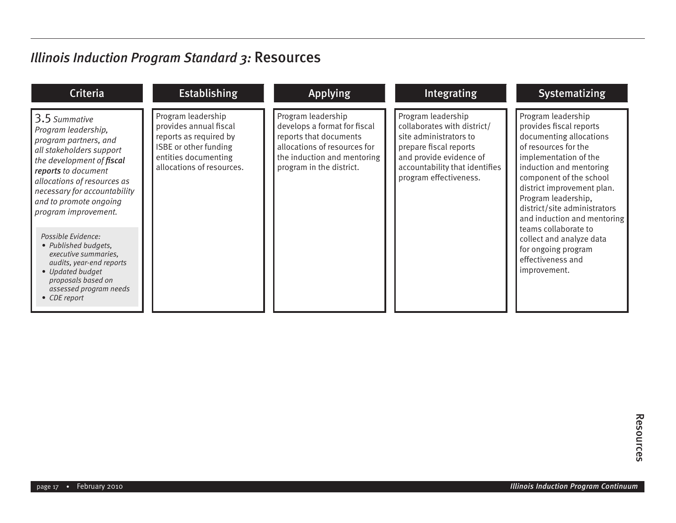### *Illinois Induction Program Standard 3:* Resources

| <b>Criteria</b>                                                                                                                                                                                                                                                                                                                                                                                                                                      | <b>Establishing</b>                                                                                                                                  | <b>Applying</b>                                                                                                                                                         | Integrating                                                                                                                                                                                  | <b>Systematizing</b>                                                                                                                                                                                                                                                                                                                                                                                                |
|------------------------------------------------------------------------------------------------------------------------------------------------------------------------------------------------------------------------------------------------------------------------------------------------------------------------------------------------------------------------------------------------------------------------------------------------------|------------------------------------------------------------------------------------------------------------------------------------------------------|-------------------------------------------------------------------------------------------------------------------------------------------------------------------------|----------------------------------------------------------------------------------------------------------------------------------------------------------------------------------------------|---------------------------------------------------------------------------------------------------------------------------------------------------------------------------------------------------------------------------------------------------------------------------------------------------------------------------------------------------------------------------------------------------------------------|
| 3.5 Summative<br>Program leadership,<br>program partners, and<br>all stakeholders support<br>the development of fiscal<br>reports to document<br>allocations of resources as<br>necessary for accountability<br>and to promote ongoing<br>program improvement.<br>Possible Evidence:<br>• Published budgets,<br>executive summaries,<br>audits, year-end reports<br>• Updated budget<br>proposals based on<br>assessed program needs<br>• CDE report | Program leadership<br>provides annual fiscal<br>reports as required by<br>ISBE or other funding<br>entities documenting<br>allocations of resources. | Program leadership<br>develops a format for fiscal<br>reports that documents<br>allocations of resources for<br>the induction and mentoring<br>program in the district. | Program leadership<br>collaborates with district/<br>site administrators to<br>prepare fiscal reports<br>and provide evidence of<br>accountability that identifies<br>program effectiveness. | Program leadership<br>provides fiscal reports<br>documenting allocations<br>of resources for the<br>implementation of the<br>induction and mentoring<br>component of the school<br>district improvement plan.<br>Program leadership,<br>district/site administrators<br>and induction and mentoring<br>teams collaborate to<br>collect and analyze data<br>for ongoing program<br>effectiveness and<br>improvement. |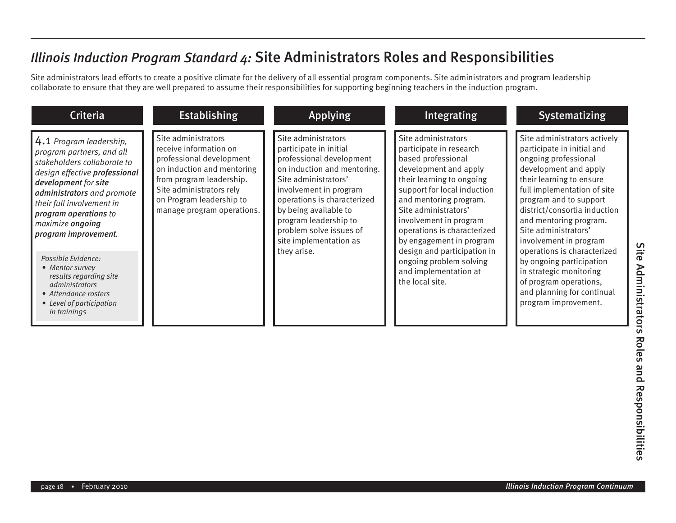Site administrators lead efforts to create a positive climate for the delivery of all essential program components. Site administrators and program leadership collaborate to ensure that they are well prepared to assume their responsibilities for supporting beginning teachers in the induction program.

| <b>Criteria</b>                                                                                                                                                                                                                                                                                                                                                                                                                               | <b>Establishing</b>                                                                                                                                                                                                       | <b>Applying</b>                                                                                                                                                                                                                                                                                                 | Integrating                                                                                                                                                                                                                                                                                                                                                                                            | <b>Systematizing</b>                                                                                                                                                                                                                                                                                                                                                                                                                                                               |
|-----------------------------------------------------------------------------------------------------------------------------------------------------------------------------------------------------------------------------------------------------------------------------------------------------------------------------------------------------------------------------------------------------------------------------------------------|---------------------------------------------------------------------------------------------------------------------------------------------------------------------------------------------------------------------------|-----------------------------------------------------------------------------------------------------------------------------------------------------------------------------------------------------------------------------------------------------------------------------------------------------------------|--------------------------------------------------------------------------------------------------------------------------------------------------------------------------------------------------------------------------------------------------------------------------------------------------------------------------------------------------------------------------------------------------------|------------------------------------------------------------------------------------------------------------------------------------------------------------------------------------------------------------------------------------------------------------------------------------------------------------------------------------------------------------------------------------------------------------------------------------------------------------------------------------|
| $\vert 4.1$ Program leadership,<br>program partners, and all<br>stakeholders collaborate to<br>design effective professional<br>development for site<br>administrators and promote<br>their full involvement in<br>program operations to<br>maximize ongoing<br>program improvement.<br>Possible Evidence:<br>• Mentor survey<br>results regarding site<br>administrators<br>• Attendance rosters<br>• Level of participation<br>in trainings | Site administrators<br>receive information on<br>professional development<br>on induction and mentoring<br>from program leadership.<br>Site administrators rely<br>on Program leadership to<br>manage program operations. | Site administrators<br>participate in initial<br>professional development<br>on induction and mentoring.<br>Site administrators'<br>involvement in program<br>operations is characterized<br>by being available to<br>program leadership to<br>problem solve issues of<br>site implementation as<br>they arise. | Site administrators<br>participate in research<br>based professional<br>development and apply<br>their learning to ongoing<br>support for local induction<br>and mentoring program.<br>Site administrators'<br>involvement in program<br>operations is characterized<br>by engagement in program<br>design and participation in<br>ongoing problem solving<br>and implementation at<br>the local site. | Site administrators actively<br>participate in initial and<br>ongoing professional<br>development and apply<br>their learning to ensure<br>full implementation of site<br>program and to support<br>district/consortia induction<br>and mentoring program.<br>Site administrators'<br>involvement in program<br>operations is characterized<br>by ongoing participation<br>in strategic monitoring<br>of program operations,<br>and planning for continual<br>program improvement. |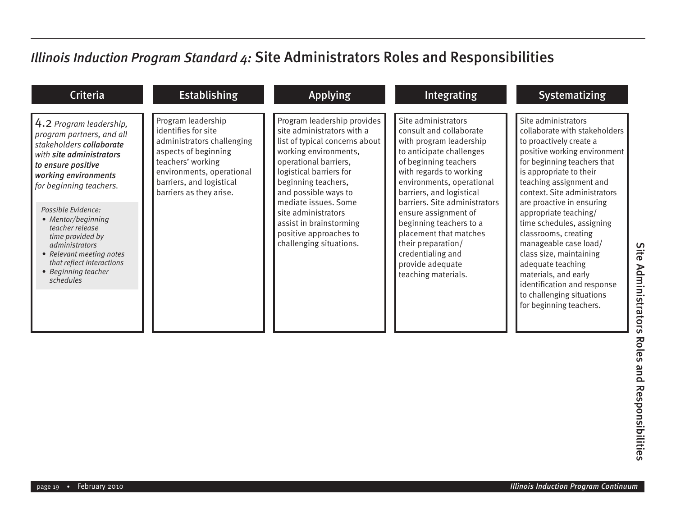| <b>Criteria</b>                                                                                                                                                                                                                                                                                                                                                                         | <b>Establishing</b>                                                                                                                                                                                      | <b>Applying</b>                                                                                                                                                                                                                                                                                                                                        | Integrating                                                                                                                                                                                                                                                                                                                                                                                                            | <b>Systematizing</b>                                                                                                                                                                                                                                                                                                                                                                                                                                                                                                                    |
|-----------------------------------------------------------------------------------------------------------------------------------------------------------------------------------------------------------------------------------------------------------------------------------------------------------------------------------------------------------------------------------------|----------------------------------------------------------------------------------------------------------------------------------------------------------------------------------------------------------|--------------------------------------------------------------------------------------------------------------------------------------------------------------------------------------------------------------------------------------------------------------------------------------------------------------------------------------------------------|------------------------------------------------------------------------------------------------------------------------------------------------------------------------------------------------------------------------------------------------------------------------------------------------------------------------------------------------------------------------------------------------------------------------|-----------------------------------------------------------------------------------------------------------------------------------------------------------------------------------------------------------------------------------------------------------------------------------------------------------------------------------------------------------------------------------------------------------------------------------------------------------------------------------------------------------------------------------------|
| 4.2 Program leadership,<br>program partners, and all<br>stakeholders collaborate<br>with site administrators<br>to ensure positive<br>working environments<br>for beginning teachers.<br>Possible Evidence:<br>• Mentor/beginning<br>teacher release<br>time provided by<br>administrators<br>• Relevant meeting notes<br>that reflect interactions<br>• Beginning teacher<br>schedules | Program leadership<br>identifies for site<br>administrators challenging<br>aspects of beginning<br>teachers' working<br>environments, operational<br>barriers, and logistical<br>barriers as they arise. | Program leadership provides<br>site administrators with a<br>list of typical concerns about<br>working environments,<br>operational barriers,<br>logistical barriers for<br>beginning teachers,<br>and possible ways to<br>mediate issues. Some<br>site administrators<br>assist in brainstorming<br>positive approaches to<br>challenging situations. | Site administrators<br>consult and collaborate<br>with program leadership<br>to anticipate challenges<br>of beginning teachers<br>with regards to working<br>environments, operational<br>barriers, and logistical<br>barriers. Site administrators<br>ensure assignment of<br>beginning teachers to a<br>placement that matches<br>their preparation/<br>credentialing and<br>provide adequate<br>teaching materials. | Site administrators<br>collaborate with stakeholders<br>to proactively create a<br>positive working environment<br>for beginning teachers that<br>is appropriate to their<br>teaching assignment and<br>context. Site administrators<br>are proactive in ensuring<br>appropriate teaching/<br>time schedules, assigning<br>classrooms, creating<br>manageable case load/<br>class size, maintaining<br>adequate teaching<br>materials, and early<br>identification and response<br>to challenging situations<br>for beginning teachers. |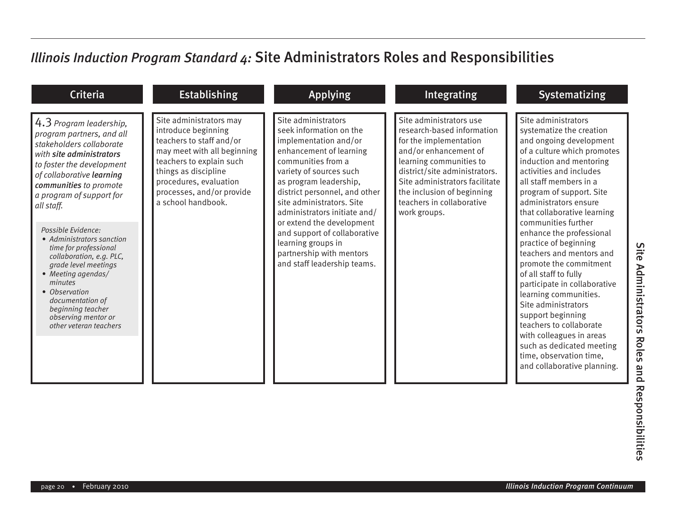| <b>Criteria</b>                                                                                                                                                                                                                                                                                                                                                                                                                                                                                                        | <b>Establishing</b>                                                                                                                                                                                                                        | <b>Applying</b>                                                                                                                                                                                                                                                                                                                                                                                                           | <b>Integrating</b>                                                                                                                                                                                                                                                                | Systematizing                                                                                                                                                                                                                                                                                                                                                                                                                                                                                                                                                                                                                                                                               |
|------------------------------------------------------------------------------------------------------------------------------------------------------------------------------------------------------------------------------------------------------------------------------------------------------------------------------------------------------------------------------------------------------------------------------------------------------------------------------------------------------------------------|--------------------------------------------------------------------------------------------------------------------------------------------------------------------------------------------------------------------------------------------|---------------------------------------------------------------------------------------------------------------------------------------------------------------------------------------------------------------------------------------------------------------------------------------------------------------------------------------------------------------------------------------------------------------------------|-----------------------------------------------------------------------------------------------------------------------------------------------------------------------------------------------------------------------------------------------------------------------------------|---------------------------------------------------------------------------------------------------------------------------------------------------------------------------------------------------------------------------------------------------------------------------------------------------------------------------------------------------------------------------------------------------------------------------------------------------------------------------------------------------------------------------------------------------------------------------------------------------------------------------------------------------------------------------------------------|
| 4.3 Program leadership,<br>program partners, and all<br>stakeholders collaborate<br>with site administrators<br>to foster the development<br>of collaborative learning<br>communities to promote<br>a program of support for<br>all staff.<br>Possible Evidence:<br>• Administrators sanction<br>time for professional<br>collaboration, e.g. PLC,<br>grade level meetings<br>• Meeting agendas/<br>minutes<br>• Observation<br>documentation of<br>beginning teacher<br>observing mentor or<br>other veteran teachers | Site administrators may<br>introduce beginning<br>teachers to staff and/or<br>may meet with all beginning<br>teachers to explain such<br>things as discipline<br>procedures, evaluation<br>processes, and/or provide<br>a school handbook. | Site administrators<br>seek information on the<br>implementation and/or<br>enhancement of learning<br>communities from a<br>variety of sources such<br>as program leadership,<br>district personnel, and other<br>site administrators. Site<br>administrators initiate and/<br>or extend the development<br>and support of collaborative<br>learning groups in<br>partnership with mentors<br>and staff leadership teams. | Site administrators use<br>research-based information<br>for the implementation<br>and/or enhancement of<br>learning communities to<br>district/site administrators.<br>Site administrators facilitate<br>the inclusion of beginning<br>teachers in collaborative<br>work groups. | Site administrators<br>systematize the creation<br>and ongoing development<br>of a culture which promotes<br>induction and mentoring<br>activities and includes<br>all staff members in a<br>program of support. Site<br>administrators ensure<br>that collaborative learning<br>communities further<br>enhance the professional<br>practice of beginning<br>teachers and mentors and<br>promote the commitment<br>of all staff to fully<br>participate in collaborative<br>learning communities.<br>Site administrators<br>support beginning<br>teachers to collaborate<br>with colleagues in areas<br>such as dedicated meeting<br>time, observation time,<br>and collaborative planning. |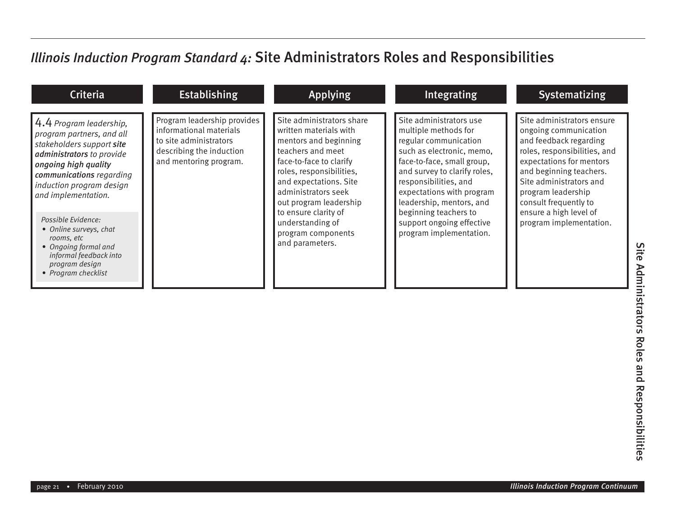| <b>Criteria</b>                                                                                                                                                                                                                                                                                                                                                                | <b>Establishing</b>                                                                                                                    | <b>Applying</b>                                                                                                                                                                                                                                                                                                          | Integrating                                                                                                                                                                                                                                                                                                                            | <b>Systematizing</b>                                                                                                                                                                                                                                                                                |
|--------------------------------------------------------------------------------------------------------------------------------------------------------------------------------------------------------------------------------------------------------------------------------------------------------------------------------------------------------------------------------|----------------------------------------------------------------------------------------------------------------------------------------|--------------------------------------------------------------------------------------------------------------------------------------------------------------------------------------------------------------------------------------------------------------------------------------------------------------------------|----------------------------------------------------------------------------------------------------------------------------------------------------------------------------------------------------------------------------------------------------------------------------------------------------------------------------------------|-----------------------------------------------------------------------------------------------------------------------------------------------------------------------------------------------------------------------------------------------------------------------------------------------------|
| 4.4 Program leadership,<br>program partners, and all<br>stakeholders support site<br>administrators to provide<br>ongoing high quality<br>communications regarding<br>induction program design<br>and implementation.<br>Possible Evidence:<br>• Online surveys, chat<br>rooms, etc<br>• Ongoing formal and<br>informal feedback into<br>program design<br>• Program checklist | Program leadership provides<br>informational materials<br>to site administrators<br>describing the induction<br>and mentoring program. | Site administrators share<br>written materials with<br>mentors and beginning<br>teachers and meet<br>face-to-face to clarify<br>roles, responsibilities,<br>and expectations. Site<br>administrators seek<br>out program leadership<br>to ensure clarity of<br>understanding of<br>program components<br>and parameters. | Site administrators use<br>multiple methods for<br>regular communication<br>such as electronic, memo,<br>face-to-face, small group,<br>and survey to clarify roles,<br>responsibilities, and<br>expectations with program<br>leadership, mentors, and<br>beginning teachers to<br>support ongoing effective<br>program implementation. | Site administrators ensure<br>ongoing communication<br>and feedback regarding<br>roles, responsibilities, and<br>expectations for mentors<br>and beginning teachers.<br>Site administrators and<br>program leadership<br>consult frequently to<br>ensure a high level of<br>program implementation. |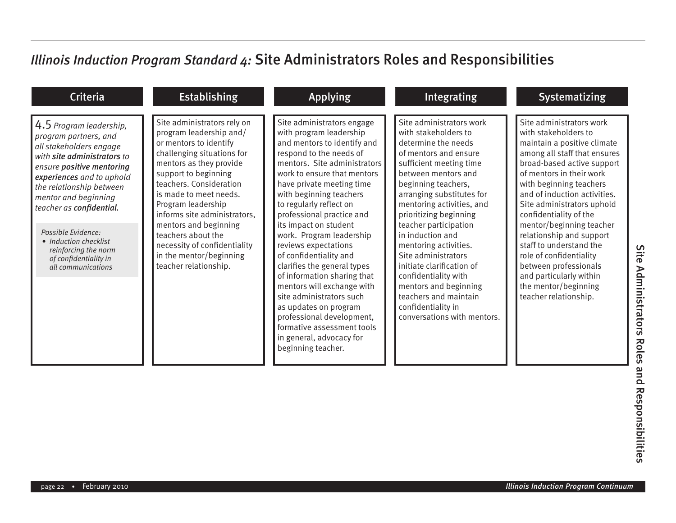| <b>Criteria</b>                                                                                                                                                                                                                                                                                                                                                            | <b>Establishing</b>                                                                                                                                                                                                                                                                                                                                                                                             | <b>Applying</b>                                                                                                                                                                                                                                                                                                                                                                                                                                                                                                                                                                                                                                                     | <b>Integrating</b>                                                                                                                                                                                                                                                                                                                                                                                                                                                                                                     | <b>Systematizing</b>                                                                                                                                                                                                                                                                                                                                                                                                                                                                                            |
|----------------------------------------------------------------------------------------------------------------------------------------------------------------------------------------------------------------------------------------------------------------------------------------------------------------------------------------------------------------------------|-----------------------------------------------------------------------------------------------------------------------------------------------------------------------------------------------------------------------------------------------------------------------------------------------------------------------------------------------------------------------------------------------------------------|---------------------------------------------------------------------------------------------------------------------------------------------------------------------------------------------------------------------------------------------------------------------------------------------------------------------------------------------------------------------------------------------------------------------------------------------------------------------------------------------------------------------------------------------------------------------------------------------------------------------------------------------------------------------|------------------------------------------------------------------------------------------------------------------------------------------------------------------------------------------------------------------------------------------------------------------------------------------------------------------------------------------------------------------------------------------------------------------------------------------------------------------------------------------------------------------------|-----------------------------------------------------------------------------------------------------------------------------------------------------------------------------------------------------------------------------------------------------------------------------------------------------------------------------------------------------------------------------------------------------------------------------------------------------------------------------------------------------------------|
| 4.5 Program leadership,<br>program partners, and<br>all stakeholders engage<br>with site administrators to<br>ensure positive mentoring<br>experiences and to uphold<br>the relationship between<br>mentor and beginning<br>teacher as confidential.<br>Possible Evidence:<br>• Induction checklist<br>reinforcing the norm<br>of confidentiality in<br>all communications | Site administrators rely on<br>program leadership and/<br>or mentors to identify<br>challenging situations for<br>mentors as they provide<br>support to beginning<br>teachers. Consideration<br>is made to meet needs.<br>Program leadership<br>informs site administrators,<br>mentors and beginning<br>teachers about the<br>necessity of confidentiality<br>in the mentor/beginning<br>teacher relationship. | Site administrators engage<br>with program leadership<br>and mentors to identify and<br>respond to the needs of<br>mentors. Site administrators<br>work to ensure that mentors<br>have private meeting time<br>with beginning teachers<br>to regularly reflect on<br>professional practice and<br>its impact on student<br>work. Program leadership<br>reviews expectations<br>of confidentiality and<br>clarifies the general types<br>of information sharing that<br>mentors will exchange with<br>site administrators such<br>as updates on program<br>professional development,<br>formative assessment tools<br>in general, advocacy for<br>beginning teacher. | Site administrators work<br>with stakeholders to<br>determine the needs<br>of mentors and ensure<br>sufficient meeting time<br>between mentors and<br>beginning teachers,<br>arranging substitutes for<br>mentoring activities, and<br>prioritizing beginning<br>teacher participation<br>in induction and<br>mentoring activities.<br>Site administrators<br>initiate clarification of<br>confidentiality with<br>mentors and beginning<br>teachers and maintain<br>confidentiality in<br>conversations with mentors. | Site administrators work<br>with stakeholders to<br>maintain a positive climate<br>among all staff that ensures<br>broad-based active support<br>of mentors in their work<br>with beginning teachers<br>and of induction activities.<br>Site administrators uphold<br>confidentiality of the<br>mentor/beginning teacher<br>relationship and support<br>staff to understand the<br>role of confidentiality<br>between professionals<br>and particularly within<br>the mentor/beginning<br>teacher relationship. |

Site Administrators Roles and Responsibilities Site Administrators Roles and Responsibilities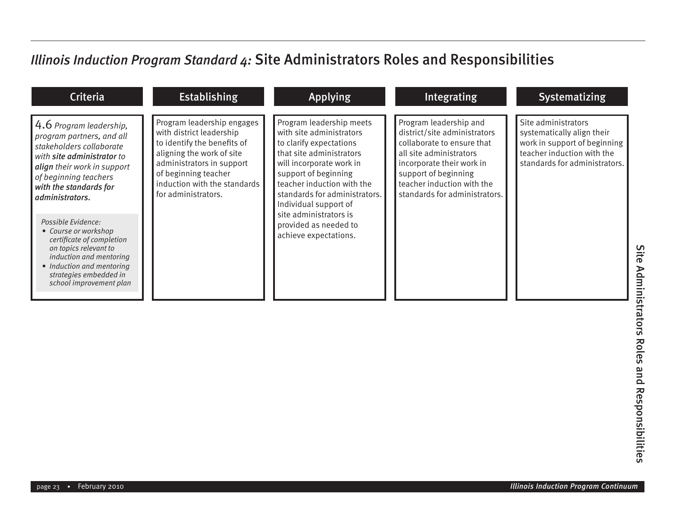| <b>Criteria</b>                                                                                                                                                                                                                                                                                                                                      | <b>Establishing</b>                                                                                                                                                                                                            | <b>Applying</b>                                                                                                                                                                                                                                                                                                                     | Integrating                                                                                                                                                                                                                         | <b>Systematizing</b>                                                                                                                             |
|------------------------------------------------------------------------------------------------------------------------------------------------------------------------------------------------------------------------------------------------------------------------------------------------------------------------------------------------------|--------------------------------------------------------------------------------------------------------------------------------------------------------------------------------------------------------------------------------|-------------------------------------------------------------------------------------------------------------------------------------------------------------------------------------------------------------------------------------------------------------------------------------------------------------------------------------|-------------------------------------------------------------------------------------------------------------------------------------------------------------------------------------------------------------------------------------|--------------------------------------------------------------------------------------------------------------------------------------------------|
| $4.6$ Program leadership,<br>program partners, and all<br>stakeholders collaborate<br>with site administrator to<br>align their work in support<br>of beginning teachers<br>with the standards for<br>administrators.<br>Possible Evidence:<br>• Course or workshop<br>certificate of completion<br>on topics relevant to<br>induction and mentoring | Program leadership engages<br>with district leadership<br>to identify the benefits of<br>aligning the work of site<br>administrators in support<br>of beginning teacher<br>induction with the standards<br>for administrators. | Program leadership meets<br>with site administrators<br>to clarify expectations<br>that site administrators<br>will incorporate work in<br>support of beginning<br>teacher induction with the<br>standards for administrators.<br>Individual support of<br>site administrators is<br>provided as needed to<br>achieve expectations. | Program leadership and<br>district/site administrators<br>collaborate to ensure that<br>all site administrators<br>incorporate their work in<br>support of beginning<br>teacher induction with the<br>standards for administrators. | Site administrators<br>systematically align their<br>work in support of beginning<br>teacher induction with the<br>standards for administrators. |
| • Induction and mentoring<br>strategies embedded in<br>school improvement plan                                                                                                                                                                                                                                                                       |                                                                                                                                                                                                                                |                                                                                                                                                                                                                                                                                                                                     |                                                                                                                                                                                                                                     |                                                                                                                                                  |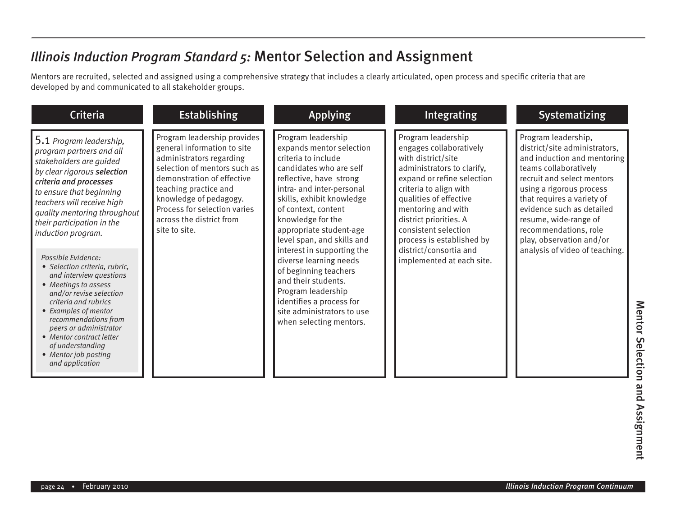#### *Illinois Induction Program Standard 5:* Mentor Selection and Assignment

Mentors are recruited, selected and assigned using a comprehensive strategy that includes a clearly articulated, open process and specific criteria that are developed by and communicated to all stakeholder groups.

| <b>Criteria</b>                                                                                                                                                                                                                                                                                                                | <b>Establishing</b>                                                                                                                                                                                                                                                                  | <b>Applying</b>                                                                                                                                                                                                                                                                            | Integrating                                                                                                                                                                                                                                                                              | <b>Systematizing</b>                                                                                                                                                                                                                                                                                            |
|--------------------------------------------------------------------------------------------------------------------------------------------------------------------------------------------------------------------------------------------------------------------------------------------------------------------------------|--------------------------------------------------------------------------------------------------------------------------------------------------------------------------------------------------------------------------------------------------------------------------------------|--------------------------------------------------------------------------------------------------------------------------------------------------------------------------------------------------------------------------------------------------------------------------------------------|------------------------------------------------------------------------------------------------------------------------------------------------------------------------------------------------------------------------------------------------------------------------------------------|-----------------------------------------------------------------------------------------------------------------------------------------------------------------------------------------------------------------------------------------------------------------------------------------------------------------|
| 5.1 Program leadership,<br>program partners and all<br>stakeholders are guided<br>by clear rigorous selection<br>criteria and processes<br>to ensure that beginning<br>teachers will receive high<br>quality mentoring throughout<br>their participation in the<br>induction program.                                          | Program leadership provides<br>general information to site<br>administrators regarding<br>selection of mentors such as<br>demonstration of effective<br>teaching practice and<br>knowledge of pedagogy.<br>Process for selection varies<br>across the district from<br>site to site. | Program leadership<br>expands mentor selection<br>criteria to include<br>candidates who are self<br>reflective, have strong<br>intra- and inter-personal<br>skills, exhibit knowledge<br>of context, content<br>knowledge for the<br>appropriate student-age<br>level span, and skills and | Program leadership<br>engages collaboratively<br>with district/site<br>administrators to clarify,<br>expand or refine selection<br>criteria to align with<br>qualities of effective<br>mentoring and with<br>district priorities. A<br>consistent selection<br>process is established by | Program leadership,<br>district/site administrators,<br>and induction and mentoring<br>teams collaboratively<br>recruit and select mentors<br>using a rigorous process<br>that requires a variety of<br>evidence such as detailed<br>resume, wide-range of<br>recommendations, role<br>play, observation and/or |
| Possible Evidence:<br>• Selection criteria, rubric.<br>and interview questions<br>• Meetings to assess<br>and/or revise selection<br>criteria and rubrics<br>• Examples of mentor<br>recommendations from<br>peers or administrator<br>• Mentor contract letter<br>of understanding<br>• Mentor job posting<br>and application |                                                                                                                                                                                                                                                                                      | interest in supporting the<br>diverse learning needs<br>of beginning teachers<br>and their students.<br>Program leadership<br>identifies a process for<br>site administrators to use<br>when selecting mentors.                                                                            | district/consortia and<br>implemented at each site.                                                                                                                                                                                                                                      | analysis of video of teaching.                                                                                                                                                                                                                                                                                  |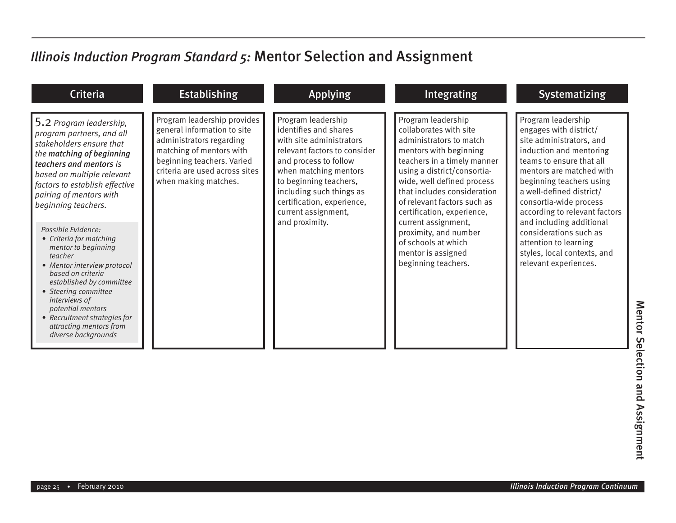### *Illinois Induction Program Standard 5:* Mentor Selection and Assignment

| <b>Criteria</b>                                                                                                                                                                                                                                                                                                                                                                                                                                                                                                                                                                      | <b>Establishing</b>                                                                                                                                                                                        | <b>Applying</b>                                                                                                                                                                                                                                                                        | Integrating                                                                                                                                                                                                                                                                                                                                                                                                   | <b>Systematizing</b>                                                                                                                                                                                                                                                                                                                                                                                                  |
|--------------------------------------------------------------------------------------------------------------------------------------------------------------------------------------------------------------------------------------------------------------------------------------------------------------------------------------------------------------------------------------------------------------------------------------------------------------------------------------------------------------------------------------------------------------------------------------|------------------------------------------------------------------------------------------------------------------------------------------------------------------------------------------------------------|----------------------------------------------------------------------------------------------------------------------------------------------------------------------------------------------------------------------------------------------------------------------------------------|---------------------------------------------------------------------------------------------------------------------------------------------------------------------------------------------------------------------------------------------------------------------------------------------------------------------------------------------------------------------------------------------------------------|-----------------------------------------------------------------------------------------------------------------------------------------------------------------------------------------------------------------------------------------------------------------------------------------------------------------------------------------------------------------------------------------------------------------------|
| 5.2 Program leadership,<br>program partners, and all<br>stakeholders ensure that<br>the matching of beginning<br>teachers and mentors is<br>based on multiple relevant<br>factors to establish effective<br>pairing of mentors with<br>beginning teachers.<br>Possible Evidence:<br>• Criteria for matching<br>mentor to beginning<br>teacher<br>• Mentor interview protocol<br>based on criteria<br>established by committee<br>• Steering committee<br><i>interviews of</i><br>potential mentors<br>• Recruitment strategies for<br>attracting mentors from<br>diverse backgrounds | Program leadership provides<br>general information to site<br>administrators regarding<br>matching of mentors with<br>beginning teachers. Varied<br>criteria are used across sites<br>when making matches. | Program leadership<br>identifies and shares<br>with site administrators<br>relevant factors to consider<br>and process to follow<br>when matching mentors<br>to beginning teachers,<br>including such things as<br>certification, experience,<br>current assignment,<br>and proximity. | Program leadership<br>collaborates with site<br>administrators to match<br>mentors with beginning<br>teachers in a timely manner<br>using a district/consortia-<br>wide, well defined process<br>that includes consideration<br>of relevant factors such as<br>certification, experience,<br>current assignment,<br>proximity, and number<br>of schools at which<br>mentor is assigned<br>beginning teachers. | Program leadership<br>engages with district/<br>site administrators, and<br>induction and mentoring<br>teams to ensure that all<br>mentors are matched with<br>beginning teachers using<br>a well-defined district/<br>consortia-wide process<br>according to relevant factors<br>and including additional<br>considerations such as<br>attention to learning<br>styles, local contexts, and<br>relevant experiences. |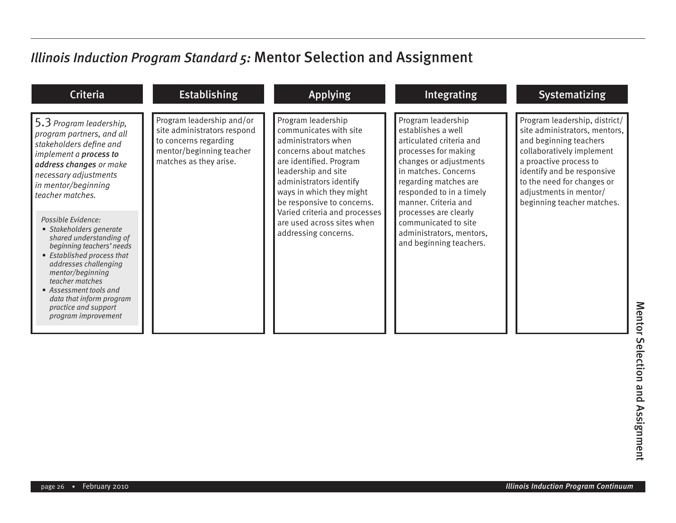### *Illinois Induction Program Standard 5:* Mentor Selection and Assignment

| <b>Criteria</b>                                                                                                                                                                                                                                                                                                                                                                                                                                                                                                      | <b>Establishing</b>                                                                                                                     | <b>Applying</b>                                                                                                                                                                                                                                                                                                             | Integrating                                                                                                                                                                                                                                                                                                                         | <b>Systematizing</b>                                                                                                                                                                                                                                                |
|----------------------------------------------------------------------------------------------------------------------------------------------------------------------------------------------------------------------------------------------------------------------------------------------------------------------------------------------------------------------------------------------------------------------------------------------------------------------------------------------------------------------|-----------------------------------------------------------------------------------------------------------------------------------------|-----------------------------------------------------------------------------------------------------------------------------------------------------------------------------------------------------------------------------------------------------------------------------------------------------------------------------|-------------------------------------------------------------------------------------------------------------------------------------------------------------------------------------------------------------------------------------------------------------------------------------------------------------------------------------|---------------------------------------------------------------------------------------------------------------------------------------------------------------------------------------------------------------------------------------------------------------------|
| 5.3 Program leadership,<br>program partners, and all<br>stakeholders define and<br>implement a process to<br>address changes or make<br>necessary adjustments<br>in mentor/beginning<br>teacher matches.<br>Possible Evidence:<br>• Stakeholders generate<br>shared understanding of<br>beginning teachers' needs<br>• Established process that<br>addresses challenging<br>mentor/beginning<br>teacher matches<br>• Assessment tools and<br>data that inform program<br>practice and support<br>program improvement | Program leadership and/or<br>site administrators respond<br>to concerns regarding<br>mentor/beginning teacher<br>matches as they arise. | Program leadership<br>communicates with site<br>administrators when<br>concerns about matches<br>are identified. Program<br>leadership and site<br>administrators identify<br>ways in which they might<br>be responsive to concerns.<br>Varied criteria and processes<br>are used across sites when<br>addressing concerns. | Program leadership<br>establishes a well<br>articulated criteria and<br>processes for making<br>changes or adjustments<br>in matches. Concerns<br>regarding matches are<br>responded to in a timely<br>manner. Criteria and<br>processes are clearly<br>communicated to site<br>administrators, mentors,<br>and beginning teachers. | Program leadership, district/<br>site administrators, mentors,<br>and beginning teachers<br>collaboratively implement<br>a proactive process to<br>identify and be responsive<br>to the need for changes or<br>adjustments in mentor/<br>beginning teacher matches. |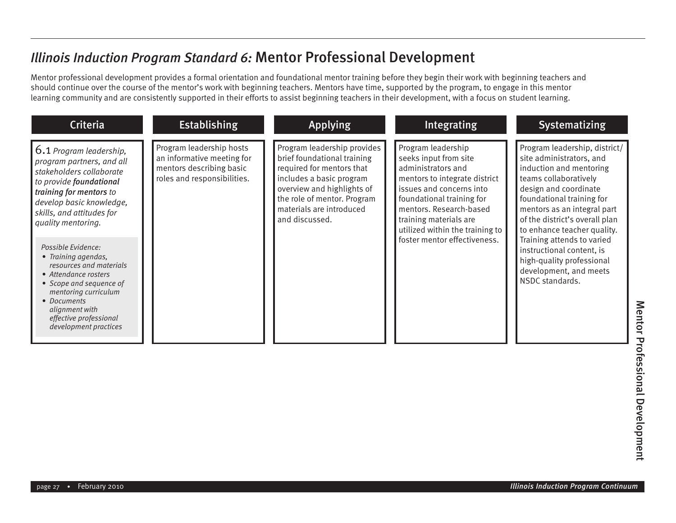#### *Illinois Induction Program Standard 6:* Mentor Professional Development

Mentor professional development provides a formal orientation and foundational mentor training before they begin their work with beginning teachers and should continue over the course of the mentor's work with beginning teachers. Mentors have time, supported by the program, to engage in this mentor learning community and are consistently supported in their efforts to assist beginning teachers in their development, with a focus on student learning.

| <b>Criteria</b>                                                                                                                                                                                                                                                                                                                                                                                                                                              | <b>Establishing</b>                                                                                               | <b>Applying</b>                                                                                                                                                                                                                | <b>Integrating</b>                                                                                                                                                                                                                                                                  | <b>Systematizing</b>                                                                                                                                                                                                                                                                                                                                                                                     |
|--------------------------------------------------------------------------------------------------------------------------------------------------------------------------------------------------------------------------------------------------------------------------------------------------------------------------------------------------------------------------------------------------------------------------------------------------------------|-------------------------------------------------------------------------------------------------------------------|--------------------------------------------------------------------------------------------------------------------------------------------------------------------------------------------------------------------------------|-------------------------------------------------------------------------------------------------------------------------------------------------------------------------------------------------------------------------------------------------------------------------------------|----------------------------------------------------------------------------------------------------------------------------------------------------------------------------------------------------------------------------------------------------------------------------------------------------------------------------------------------------------------------------------------------------------|
| 6.1 Program leadership,<br>program partners, and all<br>stakeholders collaborate<br>to provide foundational<br>training for mentors to<br>develop basic knowledge,<br>skills, and attitudes for<br>quality mentoring.<br>Possible Evidence:<br>• Training agendas,<br>resources and materials<br>• Attendance rosters<br>• Scope and sequence of<br>mentoring curriculum<br>• Documents<br>alignment with<br>effective professional<br>development practices | Program leadership hosts<br>an informative meeting for<br>mentors describing basic<br>roles and responsibilities. | Program leadership provides<br>brief foundational training<br>required for mentors that<br>includes a basic program<br>overview and highlights of<br>the role of mentor. Program<br>materials are introduced<br>and discussed. | Program leadership<br>seeks input from site<br>administrators and<br>mentors to integrate district<br>issues and concerns into<br>foundational training for<br>mentors. Research-based<br>training materials are<br>utilized within the training to<br>foster mentor effectiveness. | Program leadership, district/<br>site administrators, and<br>induction and mentoring<br>teams collaboratively<br>design and coordinate<br>foundational training for<br>mentors as an integral part<br>of the district's overall plan<br>to enhance teacher quality.<br>Training attends to varied<br>instructional content, is<br>high-quality professional<br>development, and meets<br>NSDC standards. |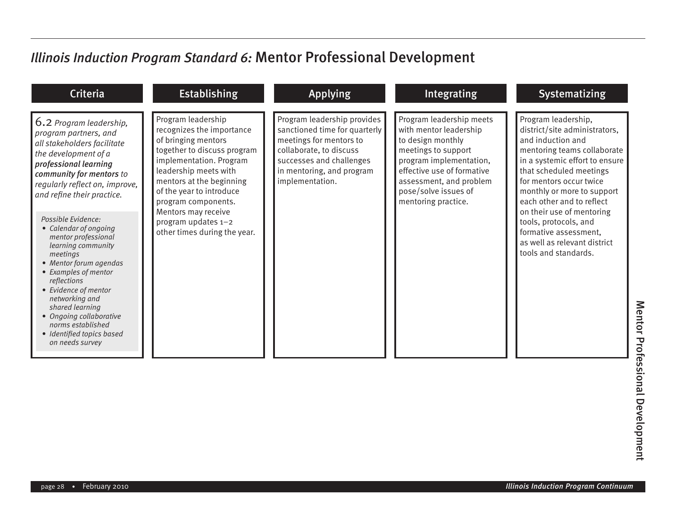# *Illinois Induction Program Standard 6:* Mentor Professional Development

| <b>Criteria</b>                                                                                                                                                                                                                                                                                                                                                                                                                                                                                                                                                    | <b>Establishing</b>                                                                                                                                                                                                                                                                                                    | <b>Applying</b>                                                                                                                                                                                | Integrating                                                                                                                                                                                                                       | <b>Systematizing</b>                                                                                                                                                                                                                                                                                                                                                                               |
|--------------------------------------------------------------------------------------------------------------------------------------------------------------------------------------------------------------------------------------------------------------------------------------------------------------------------------------------------------------------------------------------------------------------------------------------------------------------------------------------------------------------------------------------------------------------|------------------------------------------------------------------------------------------------------------------------------------------------------------------------------------------------------------------------------------------------------------------------------------------------------------------------|------------------------------------------------------------------------------------------------------------------------------------------------------------------------------------------------|-----------------------------------------------------------------------------------------------------------------------------------------------------------------------------------------------------------------------------------|----------------------------------------------------------------------------------------------------------------------------------------------------------------------------------------------------------------------------------------------------------------------------------------------------------------------------------------------------------------------------------------------------|
| 6.2 Program leadership,<br>program partners, and<br>all stakeholders facilitate<br>the development of a<br>professional learning<br>community for mentors to<br>regularly reflect on, improve,<br>and refine their practice.<br>Possible Evidence:<br>• Calendar of ongoing<br>mentor professional<br>learning community<br>meetings<br>• Mentor forum agendas<br>• Examples of mentor<br>reflections<br>• Evidence of mentor<br>networking and<br>shared learning<br>• Ongoing collaborative<br>norms established<br>· Identified topics based<br>on needs survey | Program leadership<br>recognizes the importance<br>of bringing mentors<br>together to discuss program<br>implementation. Program<br>leadership meets with<br>mentors at the beginning<br>of the year to introduce<br>program components.<br>Mentors may receive<br>program updates 1-2<br>other times during the year. | Program leadership provides<br>sanctioned time for quarterly<br>meetings for mentors to<br>collaborate, to discuss<br>successes and challenges<br>in mentoring, and program<br>implementation. | Program leadership meets<br>with mentor leadership<br>to design monthly<br>meetings to support<br>program implementation,<br>effective use of formative<br>assessment, and problem<br>pose/solve issues of<br>mentoring practice. | Program leadership,<br>district/site administrators,<br>and induction and<br>mentoring teams collaborate<br>in a systemic effort to ensure<br>that scheduled meetings<br>for mentors occur twice<br>monthly or more to support<br>each other and to reflect<br>on their use of mentoring<br>tools, protocols, and<br>formative assessment,<br>as well as relevant district<br>tools and standards. |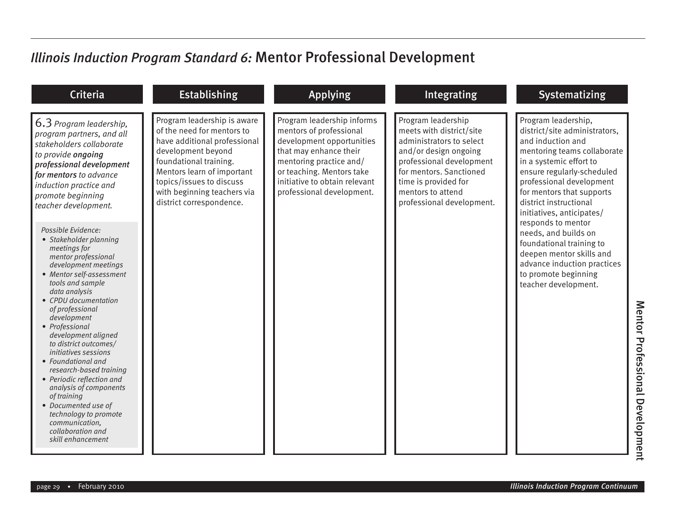### *Illinois Induction Program Standard 6:* Mentor Professional Development

| Criteria                                                                                                                                                                                                                                                                                                                                                                                                                                                                                                                                                                                                                                                                                                                                       | <b>Establishing</b>                                                                                                                                                                                                                                            | <b>Applying</b>                                                                                                                                                                                                                    | Integrating                                                                                                                                                                                                                          | <b>Systematizing</b>                                                                                                                                                                                                                                                                                                                                                                                                                                                   |
|------------------------------------------------------------------------------------------------------------------------------------------------------------------------------------------------------------------------------------------------------------------------------------------------------------------------------------------------------------------------------------------------------------------------------------------------------------------------------------------------------------------------------------------------------------------------------------------------------------------------------------------------------------------------------------------------------------------------------------------------|----------------------------------------------------------------------------------------------------------------------------------------------------------------------------------------------------------------------------------------------------------------|------------------------------------------------------------------------------------------------------------------------------------------------------------------------------------------------------------------------------------|--------------------------------------------------------------------------------------------------------------------------------------------------------------------------------------------------------------------------------------|------------------------------------------------------------------------------------------------------------------------------------------------------------------------------------------------------------------------------------------------------------------------------------------------------------------------------------------------------------------------------------------------------------------------------------------------------------------------|
| 6.3 Program leadership,<br>program partners, and all<br>stakeholders collaborate<br>to provide ongoing<br>professional development<br>for mentors to advance<br>induction practice and<br>promote beginning<br>teacher development.<br>Possible Evidence:<br>• Stakeholder planning<br>meetings for<br>mentor professional<br>development meetings<br>• Mentor self-assessment<br>tools and sample<br>data analysis<br>• CPDU documentation<br>of professional<br>development<br>• Professional<br>development aligned<br>to district outcomes/<br>initiatives sessions<br>• Foundational and<br>research-based training<br>• Periodic reflection and<br>analysis of components<br>of training<br>• Documented use of<br>technology to promote | Program leadership is aware<br>of the need for mentors to<br>have additional professional<br>development beyond<br>foundational training.<br>Mentors learn of important<br>topics/issues to discuss<br>with beginning teachers via<br>district correspondence. | Program leadership informs<br>mentors of professional<br>development opportunities<br>that may enhance their<br>mentoring practice and/<br>or teaching. Mentors take<br>initiative to obtain relevant<br>professional development. | Program leadership<br>meets with district/site<br>administrators to select<br>and/or design ongoing<br>professional development<br>for mentors. Sanctioned<br>time is provided for<br>mentors to attend<br>professional development. | Program leadership,<br>district/site administrators,<br>and induction and<br>mentoring teams collaborate<br>in a systemic effort to<br>ensure regularly-scheduled<br>professional development<br>for mentors that supports<br>district instructional<br>initiatives, anticipates/<br>responds to mentor<br>needs, and builds on<br>foundational training to<br>deepen mentor skills and<br>advance induction practices<br>to promote beginning<br>teacher development. |
| communication,<br>collaboration and<br>skill enhancement                                                                                                                                                                                                                                                                                                                                                                                                                                                                                                                                                                                                                                                                                       |                                                                                                                                                                                                                                                                |                                                                                                                                                                                                                                    |                                                                                                                                                                                                                                      |                                                                                                                                                                                                                                                                                                                                                                                                                                                                        |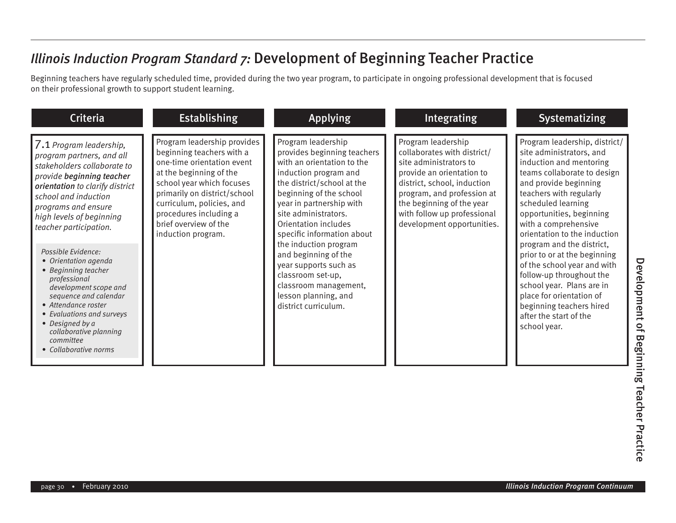Beginning teachers have regularly scheduled time, provided during the two year program, to participate in ongoing professional development that is focused on their professional growth to support student learning.

| <b>Criteria</b>                                                                                                                                                                                                                                                                                                                                                                                                                                                                                                                        | <b>Establishing</b>                                                                                                                                                                                                                                                                  | <b>Applying</b>                                                                                                                                                                                                                                                                                                                                                                                                                                     | Integrating                                                                                                                                                                                                                                                     | <b>Systematizing</b>                                                                                                                                                                                                                                                                                                                                                                                                                                                                                                                     |
|----------------------------------------------------------------------------------------------------------------------------------------------------------------------------------------------------------------------------------------------------------------------------------------------------------------------------------------------------------------------------------------------------------------------------------------------------------------------------------------------------------------------------------------|--------------------------------------------------------------------------------------------------------------------------------------------------------------------------------------------------------------------------------------------------------------------------------------|-----------------------------------------------------------------------------------------------------------------------------------------------------------------------------------------------------------------------------------------------------------------------------------------------------------------------------------------------------------------------------------------------------------------------------------------------------|-----------------------------------------------------------------------------------------------------------------------------------------------------------------------------------------------------------------------------------------------------------------|------------------------------------------------------------------------------------------------------------------------------------------------------------------------------------------------------------------------------------------------------------------------------------------------------------------------------------------------------------------------------------------------------------------------------------------------------------------------------------------------------------------------------------------|
| 7.1 Program leadership,<br>program partners, and all<br>stakeholders collaborate to<br>provide beginning teacher<br>orientation to clarify district<br>school and induction<br>programs and ensure<br>high levels of beginning<br>teacher participation.<br>Possible Evidence:<br>• Orientation agenda<br>• Beginning teacher<br>professional<br>development scope and<br>sequence and calendar<br>• Attendance roster<br>• Evaluations and surveys<br>• Designed by a<br>collaborative planning<br>committee<br>• Collaborative norms | Program leadership provides<br>beginning teachers with a<br>one-time orientation event<br>at the beginning of the<br>school year which focuses<br>primarily on district/school<br>curriculum, policies, and<br>procedures including a<br>brief overview of the<br>induction program. | Program leadership<br>provides beginning teachers<br>with an orientation to the<br>induction program and<br>the district/school at the<br>beginning of the school<br>year in partnership with<br>site administrators.<br>Orientation includes<br>specific information about<br>the induction program<br>and beginning of the<br>year supports such as<br>classroom set-up,<br>classroom management,<br>lesson planning, and<br>district curriculum. | Program leadership<br>collaborates with district/<br>site administrators to<br>provide an orientation to<br>district, school, induction<br>program, and profession at<br>the beginning of the year<br>with follow up professional<br>development opportunities. | Program leadership, district/<br>site administrators, and<br>induction and mentoring<br>teams collaborate to design<br>and provide beginning<br>teachers with regularly<br>scheduled learning<br>opportunities, beginning<br>with a comprehensive<br>orientation to the induction<br>program and the district,<br>prior to or at the beginning<br>of the school year and with<br>follow-up throughout the<br>school year. Plans are in<br>place for orientation of<br>beginning teachers hired<br>after the start of the<br>school year. |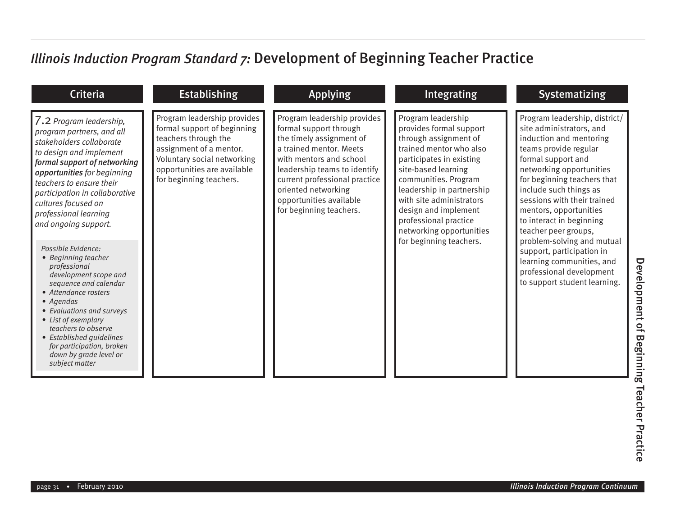| <b>Criteria</b>                                                                                                                                                                                                                                                                                                                                                                                                                                                                                                                                                                                                                                      | <b>Establishing</b>                                                                                                                                                                                    | <b>Applying</b>                                                                                                                                                                                                                                                                       | <b>Integrating</b>                                                                                                                                                                                                                                                                                                                            | <b>Systematizing</b>                                                                                                                                                                                                                                                                                                                                                                                                                                                                      |
|------------------------------------------------------------------------------------------------------------------------------------------------------------------------------------------------------------------------------------------------------------------------------------------------------------------------------------------------------------------------------------------------------------------------------------------------------------------------------------------------------------------------------------------------------------------------------------------------------------------------------------------------------|--------------------------------------------------------------------------------------------------------------------------------------------------------------------------------------------------------|---------------------------------------------------------------------------------------------------------------------------------------------------------------------------------------------------------------------------------------------------------------------------------------|-----------------------------------------------------------------------------------------------------------------------------------------------------------------------------------------------------------------------------------------------------------------------------------------------------------------------------------------------|-------------------------------------------------------------------------------------------------------------------------------------------------------------------------------------------------------------------------------------------------------------------------------------------------------------------------------------------------------------------------------------------------------------------------------------------------------------------------------------------|
| 7.2 Program leadership,<br>program partners, and all<br>stakeholders collaborate<br>to design and implement<br>formal support of networking<br>opportunities for beginning<br>teachers to ensure their<br>participation in collaborative<br>cultures focused on<br>professional learning<br>and ongoing support.<br>Possible Evidence:<br>• Beginning teacher<br>professional<br>development scope and<br>sequence and calendar<br>• Attendance rosters<br>• Agendas<br>• Evaluations and surveys<br>• List of exemplary<br>teachers to observe<br>• Established quidelines<br>for participation, broken<br>down by grade level or<br>subject matter | Program leadership provides<br>formal support of beginning<br>teachers through the<br>assignment of a mentor.<br>Voluntary social networking<br>opportunities are available<br>for beginning teachers. | Program leadership provides<br>formal support through<br>the timely assignment of<br>a trained mentor. Meets<br>with mentors and school<br>leadership teams to identify<br>current professional practice<br>oriented networking<br>opportunities available<br>for beginning teachers. | Program leadership<br>provides formal support<br>through assignment of<br>trained mentor who also<br>participates in existing<br>site-based learning<br>communities. Program<br>leadership in partnership<br>with site administrators<br>design and implement<br>professional practice<br>networking opportunities<br>for beginning teachers. | Program leadership, district/<br>site administrators, and<br>induction and mentoring<br>teams provide regular<br>formal support and<br>networking opportunities<br>for beginning teachers that<br>include such things as<br>sessions with their trained<br>mentors, opportunities<br>to interact in beginning<br>teacher peer groups,<br>problem-solving and mutual<br>support, participation in<br>learning communities, and<br>professional development<br>to support student learning. |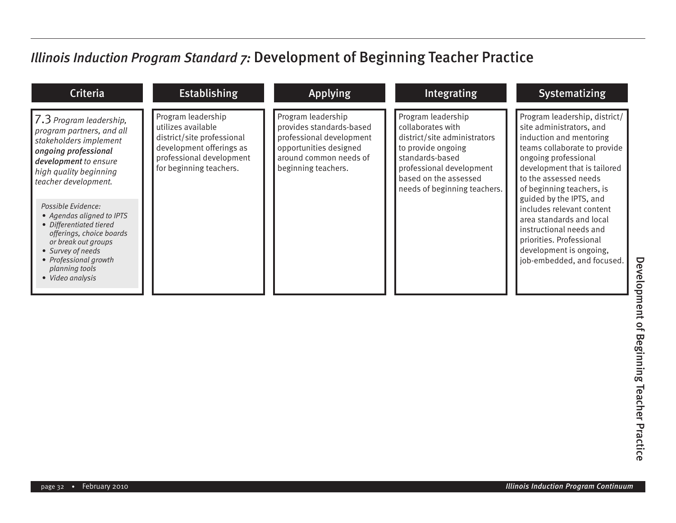| <b>Criteria</b>                                                                                                                                                                                                   | <b>Establishing</b>                                                                                                                                       | <b>Applying</b>                                                                                                                                       | Integrating                                                                                                                                                                                           | <b>Systematizing</b>                                                                                                                                                                                                                                          |
|-------------------------------------------------------------------------------------------------------------------------------------------------------------------------------------------------------------------|-----------------------------------------------------------------------------------------------------------------------------------------------------------|-------------------------------------------------------------------------------------------------------------------------------------------------------|-------------------------------------------------------------------------------------------------------------------------------------------------------------------------------------------------------|---------------------------------------------------------------------------------------------------------------------------------------------------------------------------------------------------------------------------------------------------------------|
| $\vert$ 7.3 Program leadership,<br>program partners, and all<br>stakeholders implement<br>ongoing professional<br>development to ensure<br>high quality beginning<br>teacher development.                         | Program leadership<br>utilizes available<br>district/site professional<br>development offerings as<br>professional development<br>for beginning teachers. | Program leadership<br>provides standards-based<br>professional development<br>opportunities designed<br>around common needs of<br>beginning teachers. | Program leadership<br>collaborates with<br>district/site administrators<br>to provide ongoing<br>standards-based<br>professional development<br>based on the assessed<br>needs of beginning teachers. | Program leadership, district/<br>site administrators, and<br>induction and mentoring<br>teams collaborate to provide<br>ongoing professional<br>development that is tailored<br>to the assessed needs<br>of beginning teachers, is<br>guided by the IPTS, and |
| Possible Evidence:<br>• Agendas aligned to IPTS<br>• Differentiated tiered<br>offerings, choice boards<br>or break out groups<br>• Survey of needs<br>• Professional growth<br>planning tools<br>• Video analysis |                                                                                                                                                           |                                                                                                                                                       |                                                                                                                                                                                                       | includes relevant content<br>area standards and local<br>instructional needs and<br>priorities. Professional<br>development is ongoing,<br>job-embedded, and focused.                                                                                         |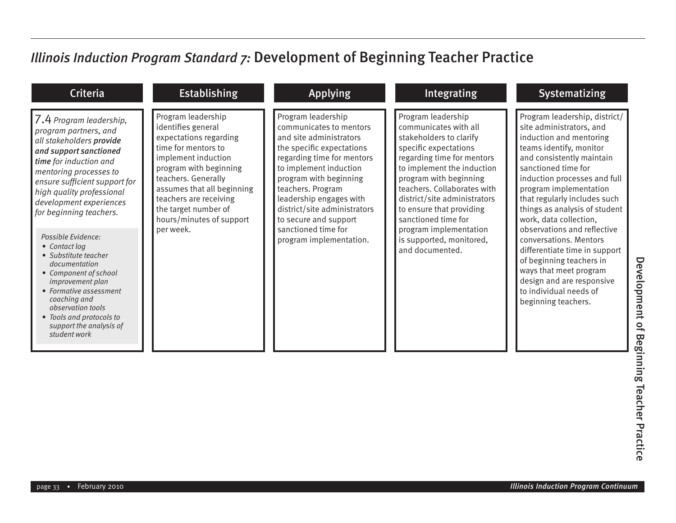| <b>Criteria</b>                                                                                                                                                                                                                                                                | <b>Establishing</b>                                                                                                                                                                                                                                                           | <b>Applying</b>                                                                                                                                                                                                                                                                                  | <b>Integrating</b>                                                                                                                                                                                                                                                                                      | <b>Systematizing</b>                                                                                                                                                                                                                                                                                                     |
|--------------------------------------------------------------------------------------------------------------------------------------------------------------------------------------------------------------------------------------------------------------------------------|-------------------------------------------------------------------------------------------------------------------------------------------------------------------------------------------------------------------------------------------------------------------------------|--------------------------------------------------------------------------------------------------------------------------------------------------------------------------------------------------------------------------------------------------------------------------------------------------|---------------------------------------------------------------------------------------------------------------------------------------------------------------------------------------------------------------------------------------------------------------------------------------------------------|--------------------------------------------------------------------------------------------------------------------------------------------------------------------------------------------------------------------------------------------------------------------------------------------------------------------------|
| 7.4 Program leadership,<br>program partners, and<br>all stakeholders provide<br>and support sanctioned<br>time for induction and<br>mentoring processes to<br>ensure sufficient support for<br>high quality professional<br>development experiences<br>for beginning teachers. | Program leadership<br>identifies general<br>expectations regarding<br>time for mentors to<br>implement induction<br>program with beginning<br>teachers. Generally<br>assumes that all beginning<br>teachers are receiving<br>the target number of<br>hours/minutes of support | Program leadership<br>communicates to mentors<br>and site administrators<br>the specific expectations<br>regarding time for mentors<br>to implement induction<br>program with beginning<br>teachers. Program<br>leadership engages with<br>district/site administrators<br>to secure and support | Program leadership<br>communicates with all<br>stakeholders to clarify<br>specific expectations<br>regarding time for mentors<br>to implement the induction<br>program with beginning<br>teachers. Collaborates with<br>district/site administrators<br>to ensure that providing<br>sanctioned time for | Program leadership, district/<br>site administrators, and<br>induction and mentoring<br>teams identify, monitor<br>and consistently maintain<br>sanctioned time for<br>induction processes and full<br>program implementation<br>that regularly includes such<br>things as analysis of student<br>work, data collection, |
| Possible Evidence:<br>• Contact log<br>• Substitute teacher<br>documentation<br>• Component of school<br><i>improvement plan</i><br>• Formative assessment<br>coaching and<br>observation tools<br>• Tools and protocols to<br>support the analysis of<br>student work         | per week.                                                                                                                                                                                                                                                                     | sanctioned time for<br>program implementation.                                                                                                                                                                                                                                                   | program implementation<br>is supported, monitored,<br>and documented.                                                                                                                                                                                                                                   | observations and reflective<br>conversations. Mentors<br>differentiate time in support<br>of beginning teachers in<br>ways that meet program<br>design and are responsive<br>to individual needs of<br>beginning teachers.                                                                                               |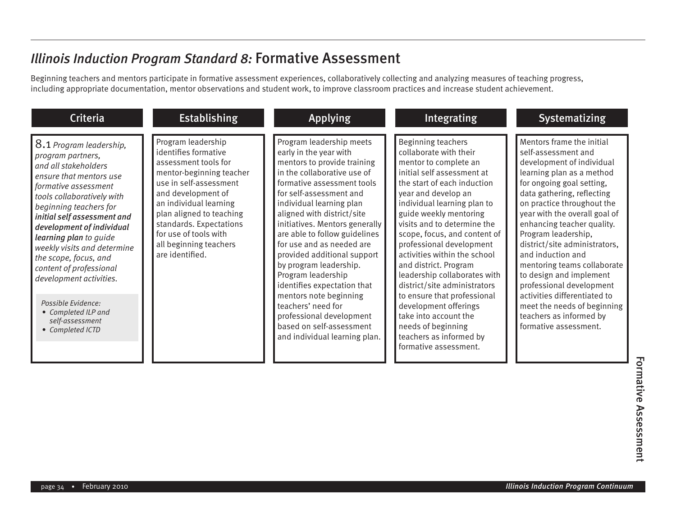Beginning teachers and mentors participate in formative assessment experiences, collaboratively collecting and analyzing measures of teaching progress, including appropriate documentation, mentor observations and student work, to improve classroom practices and increase student achievement.

| <b>Criteria</b>                                                                                                                                                                                                                                                                                                                                                                                                                                                         | <b>Establishing</b>                                                                                                                                                                                                                                                                                   | <b>Applying</b>                                                                                                                                                                                                                                                                                                                                                                                                                                                                                                                                                                            | <b>Integrating</b>                                                                                                                                                                                                                                                                                                                                                                                                                                                                                                                                                                                | <b>Systematizing</b>                                                                                                                                                                                                                                                                                                                                                                                                                                                                                                                                     |
|-------------------------------------------------------------------------------------------------------------------------------------------------------------------------------------------------------------------------------------------------------------------------------------------------------------------------------------------------------------------------------------------------------------------------------------------------------------------------|-------------------------------------------------------------------------------------------------------------------------------------------------------------------------------------------------------------------------------------------------------------------------------------------------------|--------------------------------------------------------------------------------------------------------------------------------------------------------------------------------------------------------------------------------------------------------------------------------------------------------------------------------------------------------------------------------------------------------------------------------------------------------------------------------------------------------------------------------------------------------------------------------------------|---------------------------------------------------------------------------------------------------------------------------------------------------------------------------------------------------------------------------------------------------------------------------------------------------------------------------------------------------------------------------------------------------------------------------------------------------------------------------------------------------------------------------------------------------------------------------------------------------|----------------------------------------------------------------------------------------------------------------------------------------------------------------------------------------------------------------------------------------------------------------------------------------------------------------------------------------------------------------------------------------------------------------------------------------------------------------------------------------------------------------------------------------------------------|
| 8.1 Program leadership,<br>program partners,<br>and all stakeholders<br>ensure that mentors use<br>formative assessment<br>tools collaboratively with<br>beginning teachers for<br>initial self assessment and<br>development of individual<br>learning plan to guide<br>weekly visits and determine<br>the scope, focus, and<br>content of professional<br>development activities.<br>Possible Evidence:<br>• Completed ILP and<br>self-assessment<br>• Completed ICTD | Program leadership<br>identifies formative<br>assessment tools for<br>mentor-beginning teacher<br>use in self-assessment<br>and development of<br>an individual learning<br>plan aligned to teaching<br>standards. Expectations<br>for use of tools with<br>all beginning teachers<br>are identified. | Program leadership meets<br>early in the year with<br>mentors to provide training<br>in the collaborative use of<br>formative assessment tools<br>for self-assessment and<br>individual learning plan<br>aligned with district/site<br>initiatives. Mentors generally<br>are able to follow guidelines<br>for use and as needed are<br>provided additional support<br>by program leadership.<br>Program leadership<br>identifies expectation that<br>mentors note beginning<br>teachers' need for<br>professional development<br>based on self-assessment<br>and individual learning plan. | Beginning teachers<br>collaborate with their<br>mentor to complete an<br>initial self assessment at<br>the start of each induction<br>year and develop an<br>individual learning plan to<br>guide weekly mentoring<br>visits and to determine the<br>scope, focus, and content of<br>professional development<br>activities within the school<br>and district. Program<br>leadership collaborates with<br>district/site administrators<br>to ensure that professional<br>development offerings<br>take into account the<br>needs of beginning<br>teachers as informed by<br>formative assessment. | Mentors frame the initial<br>self-assessment and<br>development of individual<br>learning plan as a method<br>for ongoing goal setting,<br>data gathering, reflecting<br>on practice throughout the<br>year with the overall goal of<br>enhancing teacher quality.<br>Program leadership,<br>district/site administrators,<br>and induction and<br>mentoring teams collaborate<br>to design and implement<br>professional development<br>activities differentiated to<br>meet the needs of beginning<br>teachers as informed by<br>formative assessment. |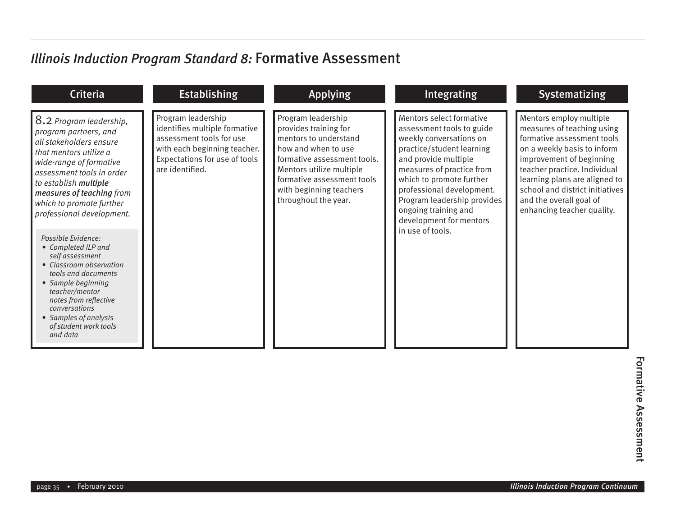| <b>Criteria</b>                                                                                                                                                                                                                                                                                                                                                                                                                                                                                                                                | <b>Establishing</b>                                                                                                                                                 | <b>Applying</b>                                                                                                                                                                                                                         | <b>Integrating</b>                                                                                                                                                                                                                                                                                                                | <b>Systematizing</b>                                                                                                                                                                                                                                                                                        |
|------------------------------------------------------------------------------------------------------------------------------------------------------------------------------------------------------------------------------------------------------------------------------------------------------------------------------------------------------------------------------------------------------------------------------------------------------------------------------------------------------------------------------------------------|---------------------------------------------------------------------------------------------------------------------------------------------------------------------|-----------------------------------------------------------------------------------------------------------------------------------------------------------------------------------------------------------------------------------------|-----------------------------------------------------------------------------------------------------------------------------------------------------------------------------------------------------------------------------------------------------------------------------------------------------------------------------------|-------------------------------------------------------------------------------------------------------------------------------------------------------------------------------------------------------------------------------------------------------------------------------------------------------------|
| 8.2 Program leadership,<br>program partners, and<br>all stakeholders ensure<br>that mentors utilize a<br>wide-range of formative<br>assessment tools in order<br>to establish multiple<br>measures of teaching from<br>which to promote further<br>professional development.<br>Possible Evidence:<br>• Completed ILP and<br>self assessment<br>• Classroom observation<br>tools and documents<br>• Sample beginning<br>teacher/mentor<br>notes from reflective<br>conversations<br>• Samples of analysis<br>of student work tools<br>and data | Program leadership<br>identifies multiple formative<br>assessment tools for use<br>with each beginning teacher.<br>Expectations for use of tools<br>are identified. | Program leadership<br>provides training for<br>mentors to understand<br>how and when to use<br>formative assessment tools.<br>Mentors utilize multiple<br>formative assessment tools<br>with beginning teachers<br>throughout the year. | Mentors select formative<br>assessment tools to guide<br>weekly conversations on<br>practice/student learning<br>and provide multiple<br>measures of practice from<br>which to promote further<br>professional development.<br>Program leadership provides<br>ongoing training and<br>development for mentors<br>in use of tools. | Mentors employ multiple<br>measures of teaching using<br>formative assessment tools<br>on a weekly basis to inform<br>improvement of beginning<br>teacher practice. Individual<br>learning plans are aligned to<br>school and district initiatives<br>and the overall goal of<br>enhancing teacher quality. |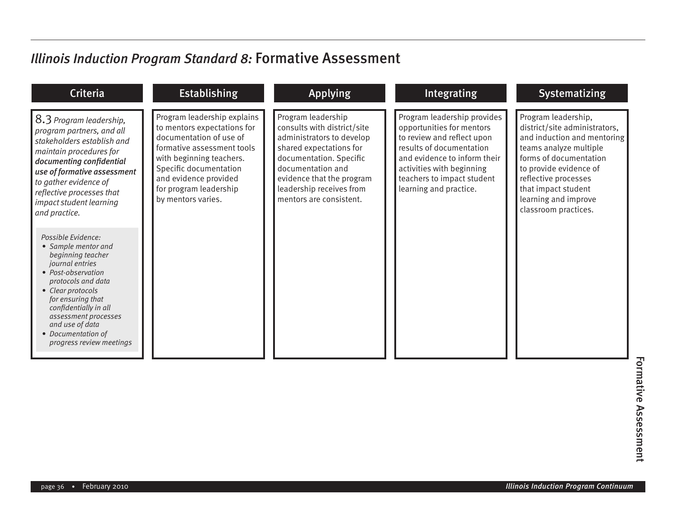| Criteria                                                                                                                                                                                                                                                                                      | <b>Establishing</b>                                                                                                                                                                                                                                | <b>Applying</b>                                                                                                                                                                                                                               | Integrating                                                                                                                                                                                                                             | <b>Systematizing</b>                                                                                                                                                                                                                                             |
|-----------------------------------------------------------------------------------------------------------------------------------------------------------------------------------------------------------------------------------------------------------------------------------------------|----------------------------------------------------------------------------------------------------------------------------------------------------------------------------------------------------------------------------------------------------|-----------------------------------------------------------------------------------------------------------------------------------------------------------------------------------------------------------------------------------------------|-----------------------------------------------------------------------------------------------------------------------------------------------------------------------------------------------------------------------------------------|------------------------------------------------------------------------------------------------------------------------------------------------------------------------------------------------------------------------------------------------------------------|
| 8.3 Program leadership,<br>program partners, and all<br>stakeholders establish and<br>maintain procedures for<br>documenting confidential<br>use of formative assessment<br>to gather evidence of<br>reflective processes that<br>impact student learning<br>and practice.                    | Program leadership explains<br>to mentors expectations for<br>documentation of use of<br>formative assessment tools<br>with beginning teachers.<br>Specific documentation<br>and evidence provided<br>for program leadership<br>by mentors varies. | Program leadership<br>consults with district/site<br>administrators to develop<br>shared expectations for<br>documentation. Specific<br>documentation and<br>evidence that the program<br>leadership receives from<br>mentors are consistent. | Program leadership provides<br>opportunities for mentors<br>to review and reflect upon<br>results of documentation<br>and evidence to inform their<br>activities with beginning<br>teachers to impact student<br>learning and practice. | Program leadership,<br>district/site administrators,<br>and induction and mentoring<br>teams analyze multiple<br>forms of documentation<br>to provide evidence of<br>reflective processes<br>that impact student<br>learning and improve<br>classroom practices. |
| Possible Evidence:<br>• Sample mentor and<br>beginning teacher<br>journal entries<br>• Post-observation<br>protocols and data<br>• Clear protocols<br>for ensuring that<br>confidentially in all<br>assessment processes<br>and use of data<br>• Documentation of<br>progress review meetings |                                                                                                                                                                                                                                                    |                                                                                                                                                                                                                                               |                                                                                                                                                                                                                                         |                                                                                                                                                                                                                                                                  |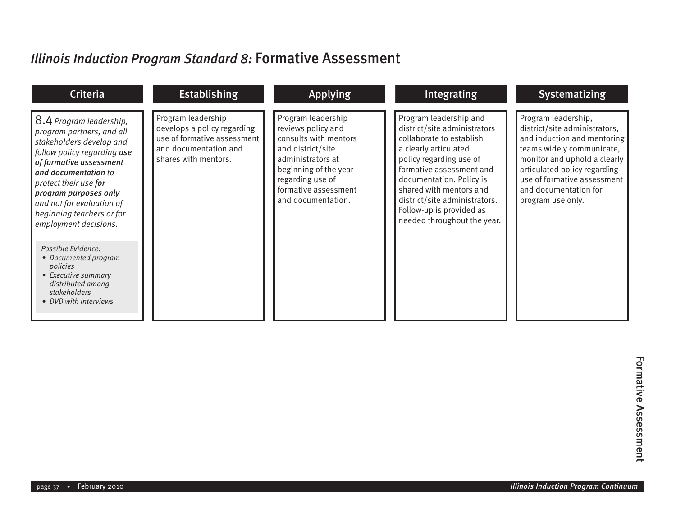| <b>Criteria</b>                                                                                                                                                                                                                                                                                         | <b>Establishing</b>                                                                                                               | <b>Applying</b>                                                                                                                                                                                        | Integrating                                                                                                                                                                                                                                                                                                           | <b>Systematizing</b>                                                                                                                                                                                                                                          |
|---------------------------------------------------------------------------------------------------------------------------------------------------------------------------------------------------------------------------------------------------------------------------------------------------------|-----------------------------------------------------------------------------------------------------------------------------------|--------------------------------------------------------------------------------------------------------------------------------------------------------------------------------------------------------|-----------------------------------------------------------------------------------------------------------------------------------------------------------------------------------------------------------------------------------------------------------------------------------------------------------------------|---------------------------------------------------------------------------------------------------------------------------------------------------------------------------------------------------------------------------------------------------------------|
| 8.4 Program leadership,<br>program partners, and all<br>stakeholders develop and<br>follow policy regarding use<br>of formative assessment<br>and documentation to<br>protect their use for<br>program purposes only<br>and not for evaluation of<br>beginning teachers or for<br>employment decisions. | Program leadership<br>develops a policy regarding<br>use of formative assessment<br>and documentation and<br>shares with mentors. | Program leadership<br>reviews policy and<br>consults with mentors<br>and district/site<br>administrators at<br>beginning of the year<br>regarding use of<br>formative assessment<br>and documentation. | Program leadership and<br>district/site administrators<br>collaborate to establish<br>a clearly articulated<br>policy regarding use of<br>formative assessment and<br>documentation. Policy is<br>shared with mentors and<br>district/site administrators.<br>Follow-up is provided as<br>needed throughout the year. | Program leadership,<br>district/site administrators,<br>and induction and mentoring<br>teams widely communicate,<br>monitor and uphold a clearly<br>articulated policy regarding<br>use of formative assessment<br>and documentation for<br>program use only. |
| Possible Evidence:<br>• Documented program<br>policies<br>• Executive summary<br>distributed among<br>stakeholders<br>• DVD with interviews                                                                                                                                                             |                                                                                                                                   |                                                                                                                                                                                                        |                                                                                                                                                                                                                                                                                                                       |                                                                                                                                                                                                                                                               |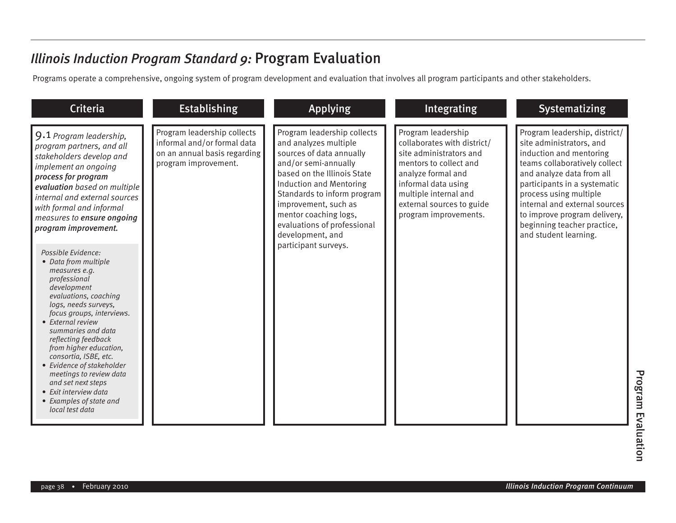Programs operate a comprehensive, ongoing system of program development and evaluation that involves all program participants and other stakeholders.

| <b>Criteria</b>                                                                                                                                                                                                                                                                                                                                                                                                                                                                                                                                                                                                                                                                                                                                 | <b>Establishing</b>                                                                                                | <b>Applying</b>                                                                                                                                                                                                                                                                                                                      | Integrating                                                                                                                                                                                                                        | <b>Systematizing</b>                                                                                                                                                                                                                                                                                                                  |
|-------------------------------------------------------------------------------------------------------------------------------------------------------------------------------------------------------------------------------------------------------------------------------------------------------------------------------------------------------------------------------------------------------------------------------------------------------------------------------------------------------------------------------------------------------------------------------------------------------------------------------------------------------------------------------------------------------------------------------------------------|--------------------------------------------------------------------------------------------------------------------|--------------------------------------------------------------------------------------------------------------------------------------------------------------------------------------------------------------------------------------------------------------------------------------------------------------------------------------|------------------------------------------------------------------------------------------------------------------------------------------------------------------------------------------------------------------------------------|---------------------------------------------------------------------------------------------------------------------------------------------------------------------------------------------------------------------------------------------------------------------------------------------------------------------------------------|
| 9.1 Program leadership,<br>program partners, and all<br>stakeholders develop and<br><i>implement an ongoing</i><br>process for program<br>evaluation based on multiple<br>internal and external sources<br>with formal and informal<br>measures to ensure ongoing<br>program improvement.<br>Possible Evidence:<br>• Data from multiple<br>measures e.g.<br>professional<br>development<br>evaluations, coaching<br>logs, needs surveys,<br>focus groups, interviews.<br>• External review<br>summaries and data<br>reflecting feedback<br>from higher education,<br>consortia, ISBE, etc.<br>• Evidence of stakeholder<br>meetings to review data<br>and set next steps<br>• Exit interview data<br>• Examples of state and<br>local test data | Program leadership collects<br>informal and/or formal data<br>on an annual basis regarding<br>program improvement. | Program leadership collects<br>and analyzes multiple<br>sources of data annually<br>and/or semi-annually<br>based on the Illinois State<br><b>Induction and Mentoring</b><br>Standards to inform program<br>improvement, such as<br>mentor coaching logs,<br>evaluations of professional<br>development, and<br>participant surveys. | Program leadership<br>collaborates with district/<br>site administrators and<br>mentors to collect and<br>analyze formal and<br>informal data using<br>multiple internal and<br>external sources to guide<br>program improvements. | Program leadership, district/<br>site administrators, and<br>induction and mentoring<br>teams collaboratively collect<br>and analyze data from all<br>participants in a systematic<br>process using multiple<br>internal and external sources<br>to improve program delivery,<br>beginning teacher practice,<br>and student learning. |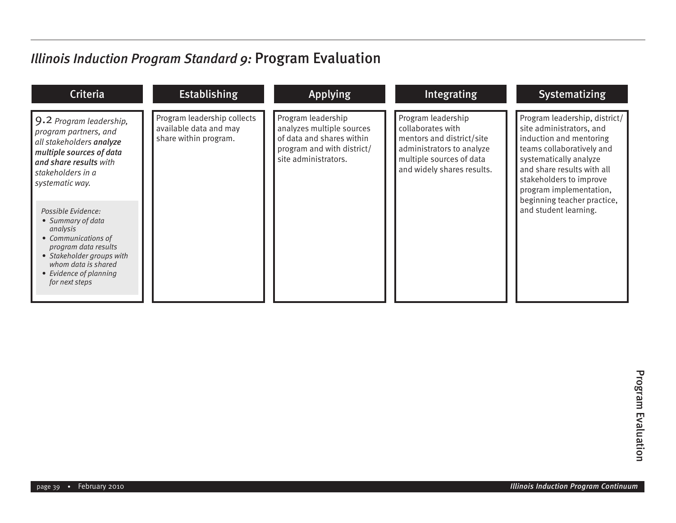| <b>Criteria</b>                                                                                                                                                                                                                                                                                                                                                                  | <b>Establishing</b>                                                            | <b>Applying</b>                                                                                                                    | Integrating                                                                                                                                                 | <b>Systematizing</b>                                                                                                                                                                                                                                                                    |
|----------------------------------------------------------------------------------------------------------------------------------------------------------------------------------------------------------------------------------------------------------------------------------------------------------------------------------------------------------------------------------|--------------------------------------------------------------------------------|------------------------------------------------------------------------------------------------------------------------------------|-------------------------------------------------------------------------------------------------------------------------------------------------------------|-----------------------------------------------------------------------------------------------------------------------------------------------------------------------------------------------------------------------------------------------------------------------------------------|
| 9.2 Program leadership,<br>program partners, and<br>all stakeholders analyze<br>multiple sources of data<br>and share results with<br>stakeholders in a<br>systematic way.<br>Possible Evidence:<br>• Summary of data<br>analysis<br>• Communications of<br>program data results<br>• Stakeholder groups with<br>whom data is shared<br>• Evidence of planning<br>for next steps | Program leadership collects<br>available data and may<br>share within program. | Program leadership<br>analyzes multiple sources<br>of data and shares within<br>program and with district/<br>site administrators. | Program leadership<br>collaborates with<br>mentors and district/site<br>administrators to analyze<br>multiple sources of data<br>and widely shares results. | Program leadership, district/<br>site administrators, and<br>induction and mentoring<br>teams collaboratively and<br>systematically analyze<br>and share results with all<br>stakeholders to improve<br>program implementation,<br>beginning teacher practice,<br>and student learning. |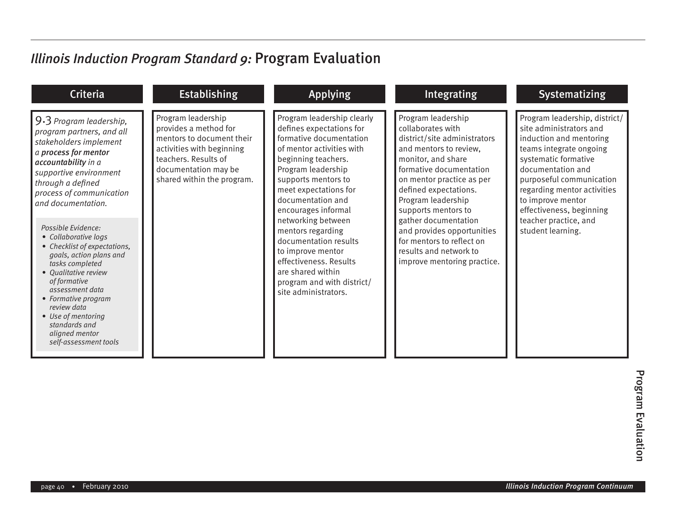| <b>Criteria</b>                                                                                                                                                                                                                                                                                                                                                                                                                                                                                                                                 | <b>Establishing</b>                                                                                                                                                                 | <b>Applying</b>                                                                                                                                                                                                                                                                                                                                                                                                                                       | <b>Integrating</b>                                                                                                                                                                                                                                                                                                                                                                                | <b>Systematizing</b>                                                                                                                                                                                                                                                                                                  |
|-------------------------------------------------------------------------------------------------------------------------------------------------------------------------------------------------------------------------------------------------------------------------------------------------------------------------------------------------------------------------------------------------------------------------------------------------------------------------------------------------------------------------------------------------|-------------------------------------------------------------------------------------------------------------------------------------------------------------------------------------|-------------------------------------------------------------------------------------------------------------------------------------------------------------------------------------------------------------------------------------------------------------------------------------------------------------------------------------------------------------------------------------------------------------------------------------------------------|---------------------------------------------------------------------------------------------------------------------------------------------------------------------------------------------------------------------------------------------------------------------------------------------------------------------------------------------------------------------------------------------------|-----------------------------------------------------------------------------------------------------------------------------------------------------------------------------------------------------------------------------------------------------------------------------------------------------------------------|
| $9.3$ Program leadership,<br>program partners, and all<br>stakeholders implement<br>a process for mentor<br>accountability in a<br>supportive environment<br>through a defined<br>process of communication<br>and documentation.<br>Possible Evidence:<br>• Collaborative logs<br>• Checklist of expectations,<br>goals, action plans and<br>tasks completed<br>• Oualitative review<br>of formative<br>assessment data<br>• Formative program<br>review data<br>• Use of mentoring<br>standards and<br>aligned mentor<br>self-assessment tools | Program leadership<br>provides a method for<br>mentors to document their<br>activities with beginning<br>teachers. Results of<br>documentation may be<br>shared within the program. | Program leadership clearly<br>defines expectations for<br>formative documentation<br>of mentor activities with<br>beginning teachers.<br>Program leadership<br>supports mentors to<br>meet expectations for<br>documentation and<br>encourages informal<br>networking between<br>mentors regarding<br>documentation results<br>to improve mentor<br>effectiveness. Results<br>are shared within<br>program and with district/<br>site administrators. | Program leadership<br>collaborates with<br>district/site administrators<br>and mentors to review,<br>monitor, and share<br>formative documentation<br>on mentor practice as per<br>defined expectations.<br>Program leadership<br>supports mentors to<br>gather documentation<br>and provides opportunities<br>for mentors to reflect on<br>results and network to<br>improve mentoring practice. | Program leadership, district/<br>site administrators and<br>induction and mentoring<br>teams integrate ongoing<br>systematic formative<br>documentation and<br>purposeful communication<br>regarding mentor activities<br>to improve mentor<br>effectiveness, beginning<br>teacher practice, and<br>student learning. |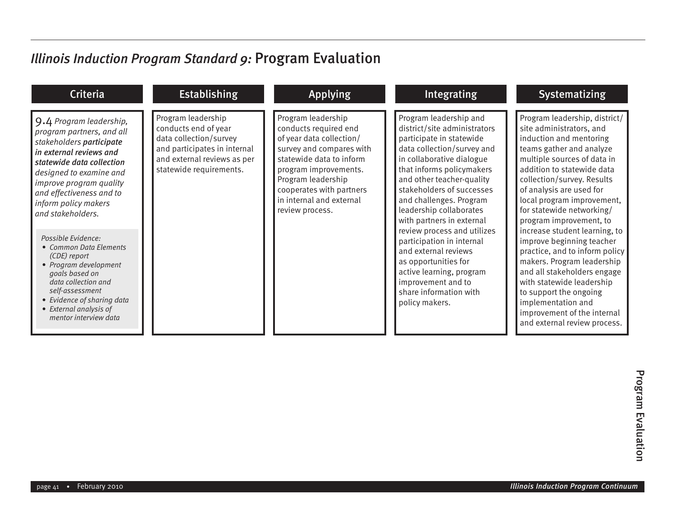| <b>Criteria</b>                                                                                                                                                                                                                                                                                                                                                                                                                                                                                               | <b>Establishing</b>                                                                                                                                            | <b>Applying</b>                                                                                                                                                                                                                                           | Integrating                                                                                                                                                                                                                                                                                                                                                                                                                                                                                                                       | <b>Systematizing</b>                                                                                                                                                                                                                                                                                                                                                                                                                                                                                                                                                                                                                   |
|---------------------------------------------------------------------------------------------------------------------------------------------------------------------------------------------------------------------------------------------------------------------------------------------------------------------------------------------------------------------------------------------------------------------------------------------------------------------------------------------------------------|----------------------------------------------------------------------------------------------------------------------------------------------------------------|-----------------------------------------------------------------------------------------------------------------------------------------------------------------------------------------------------------------------------------------------------------|-----------------------------------------------------------------------------------------------------------------------------------------------------------------------------------------------------------------------------------------------------------------------------------------------------------------------------------------------------------------------------------------------------------------------------------------------------------------------------------------------------------------------------------|----------------------------------------------------------------------------------------------------------------------------------------------------------------------------------------------------------------------------------------------------------------------------------------------------------------------------------------------------------------------------------------------------------------------------------------------------------------------------------------------------------------------------------------------------------------------------------------------------------------------------------------|
| 9.4 Program leadership,<br>program partners, and all<br>stakeholders participate<br>In external reviews and<br>statewide data collection<br>designed to examine and<br>improve program quality<br>and effectiveness and to<br>inform policy makers<br>and stakeholders.<br>Possible Evidence:<br>• Common Data Elements<br>(CDE) report<br>• Program development<br>goals based on<br>data collection and<br>self-assessment<br>• Evidence of sharing data<br>• External analysis of<br>mentor interview data | Program leadership<br>conducts end of year<br>data collection/survey<br>and participates in internal<br>and external reviews as per<br>statewide requirements. | Program leadership<br>conducts required end<br>of year data collection/<br>survey and compares with<br>statewide data to inform<br>program improvements.<br>Program leadership<br>cooperates with partners<br>in internal and external<br>review process. | Program leadership and<br>district/site administrators<br>participate in statewide<br>data collection/survey and<br>in collaborative dialogue<br>that informs policymakers<br>and other teacher-quality<br>stakeholders of successes<br>and challenges. Program<br>leadership collaborates<br>with partners in external<br>review process and utilizes<br>participation in internal<br>and external reviews<br>as opportunities for<br>active learning, program<br>improvement and to<br>share information with<br>policy makers. | Program leadership, district/<br>site administrators, and<br>induction and mentoring<br>teams gather and analyze<br>multiple sources of data in<br>addition to statewide data<br>collection/survey. Results<br>of analysis are used for<br>local program improvement,<br>for statewide networking/<br>program improvement, to<br>increase student learning, to<br>improve beginning teacher<br>practice, and to inform policy<br>makers. Program leadership<br>and all stakeholders engage<br>with statewide leadership<br>to support the ongoing<br>implementation and<br>improvement of the internal<br>and external review process. |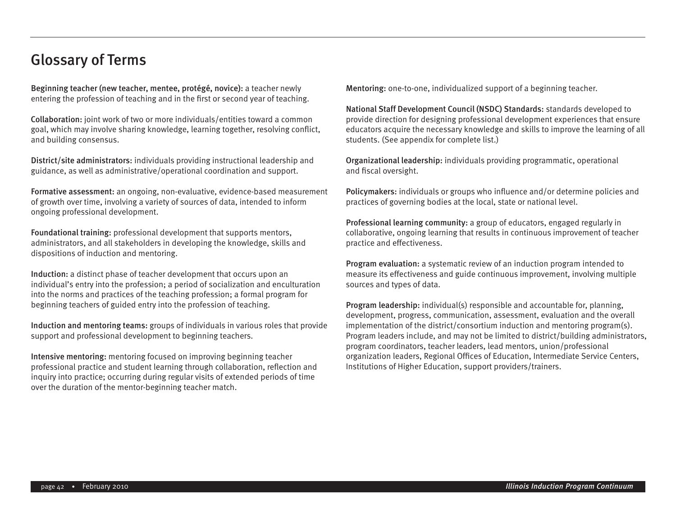#### Glossary of Terms

Beginning teacher (new teacher, mentee, protégé, novice): a teacher newly entering the profession of teaching and in the first or second year of teaching.

Collaboration: joint work of two or more individuals/entities toward a common goal, which may involve sharing knowledge, learning together, resolving conflict, and building consensus.

District/site administrators: individuals providing instructional leadership and guidance, as well as administrative/operational coordination and support.

Formative assessment: an ongoing, non-evaluative, evidence-based measurement of growth over time, involving a variety of sources of data, intended to inform ongoing professional development.

Foundational training: professional development that supports mentors, administrators, and all stakeholders in developing the knowledge, skills and dispositions of induction and mentoring.

Induction: a distinct phase of teacher development that occurs upon an individual's entry into the profession; a period of socialization and enculturation into the norms and practices of the teaching profession; a formal program for beginning teachers of guided entry into the profession of teaching.

Induction and mentoring teams: groups of individuals in various roles that provide support and professional development to beginning teachers.

Intensive mentoring: mentoring focused on improving beginning teacher professional practice and student learning through collaboration, reflection and inquiry into practice; occurring during regular visits of extended periods of time over the duration of the mentor-beginning teacher match.

Mentoring: one-to-one, individualized support of a beginning teacher.

National Staff Development Council (NSDC) Standards: standards developed to provide direction for designing professional development experiences that ensure educators acquire the necessary knowledge and skills to improve the learning of all students. (See appendix for complete list.)

Organizational leadership: individuals providing programmatic, operational and fiscal oversight.

Policymakers: individuals or groups who influence and/or determine policies and practices of governing bodies at the local, state or national level.

Professional learning community: a group of educators, engaged regularly in collaborative, ongoing learning that results in continuous improvement of teacher practice and effectiveness.

Program evaluation: a systematic review of an induction program intended to measure its effectiveness and guide continuous improvement, involving multiple sources and types of data.

Program leadership: individual(s) responsible and accountable for, planning, development, progress, communication, assessment, evaluation and the overall implementation of the district/consortium induction and mentoring program(s). Program leaders include, and may not be limited to district/building administrators, program coordinators, teacher leaders, lead mentors, union/professional organization leaders, Regional Offices of Education, Intermediate Service Centers, Institutions of Higher Education, support providers/trainers.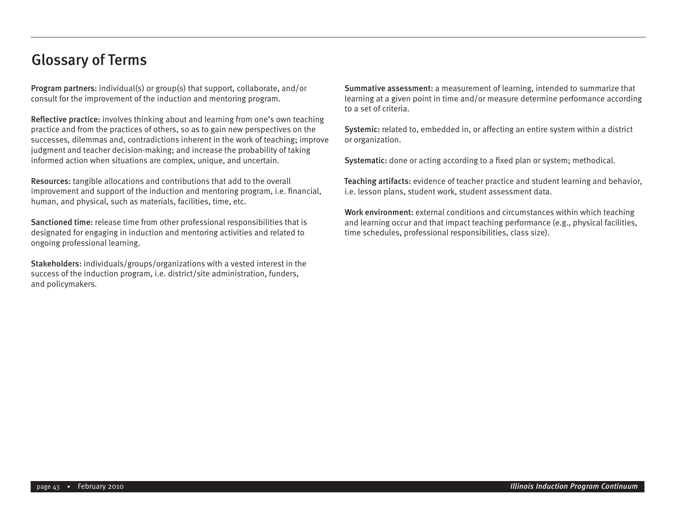#### Glossary of Terms

Program partners: individual(s) or group(s) that support, collaborate, and/or consult for the improvement of the induction and mentoring program.

Reflective practice: involves thinking about and learning from one's own teaching practice and from the practices of others, so as to gain new perspectives on the successes, dilemmas and, contradictions inherent in the work of teaching; improve judgment and teacher decision-making; and increase the probability of taking informed action when situations are complex, unique, and uncertain.

Resources: tangible allocations and contributions that add to the overall improvement and support of the induction and mentoring program, i.e. financial, human, and physical, such as materials, facilities, time, etc.

Sanctioned time: release time from other professional responsibilities that is designated for engaging in induction and mentoring activities and related to ongoing professional learning.

Stakeholders: individuals/groups/organizations with a vested interest in the success of the induction program, i.e. district/site administration, funders, and policymakers.

Summative assessment: a measurement of learning, intended to summarize that learning at a given point in time and/or measure determine performance according to a set of criteria.

Systemic: related to, embedded in, or affecting an entire system within a district or organization.

Systematic: done or acting according to a fixed plan or system; methodical.

Teaching artifacts: evidence of teacher practice and student learning and behavior, i.e. lesson plans, student work, student assessment data.

Work environment: external conditions and circumstances within which teaching and learning occur and that impact teaching performance (e.g., physical facilities, time schedules, professional responsibilities, class size).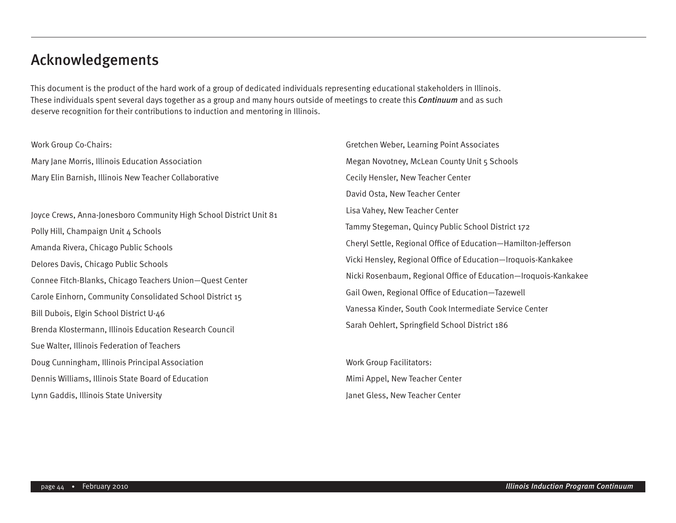#### Acknowledgements

This document is the product of the hard work of a group of dedicated individuals representing educational stakeholders in Illinois. These individuals spent several days together as a group and many hours outside of meetings to create this *Continuum* and as such deserve recognition for their contributions to induction and mentoring in Illinois.

Work Group Co-Chairs: Mary Jane Morris, Illinois Education Association Mary Elin Barnish, Illinois New Teacher Collaborative

Joyce Crews, Anna-Jonesboro Community High School District Unit 81 Polly Hill, Champaign Unit 4 Schools Amanda Rivera, Chicago Public Schools Delores Davis, Chicago Public Schools Connee Fitch-Blanks, Chicago Teachers Union—Quest Center Carole Einhorn, Community Consolidated School District 15 Bill Dubois, Elgin School District U-46 Brenda Klostermann, Illinois Education Research Council Sue Walter, Illinois Federation of Teachers Doug Cunningham, Illinois Principal Association Dennis Williams, Illinois State Board of Education Lynn Gaddis, Illinois State University

Gretchen Weber, Learning Point Associates Megan Novotney, McLean County Unit 5 Schools Cecily Hensler, New Teacher Center David Osta, New Teacher Center Lisa Vahey, New Teacher Center Tammy Stegeman, Quincy Public School District 172 Cheryl Settle, Regional Office of Education—Hamilton-Jefferson Vicki Hensley, Regional Office of Education—Iroquois-Kankakee Nicki Rosenbaum, Regional Office of Education—Iroquois-Kankakee Gail Owen, Regional Office of Education—Tazewell Vanessa Kinder, South Cook Intermediate Service Center Sarah Oehlert, Springfield School District 186

Work Group Facilitators: Mimi Appel, New Teacher Center Janet Gless, New Teacher Center